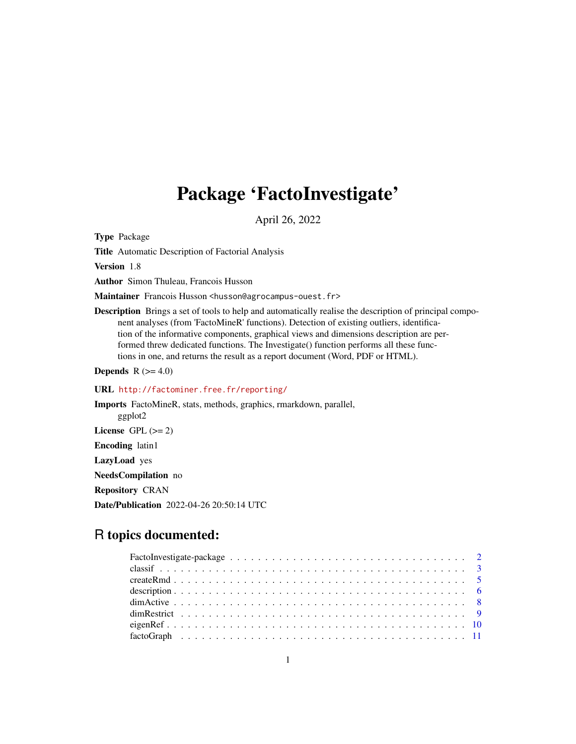# Package 'FactoInvestigate'

April 26, 2022

<span id="page-0-0"></span>Type Package

Title Automatic Description of Factorial Analysis

Version 1.8

Author Simon Thuleau, Francois Husson

Maintainer Francois Husson <husson@agrocampus-ouest.fr>

Description Brings a set of tools to help and automatically realise the description of principal component analyses (from 'FactoMineR' functions). Detection of existing outliers, identification of the informative components, graphical views and dimensions description are performed threw dedicated functions. The Investigate() function performs all these functions in one, and returns the result as a report document (Word, PDF or HTML).

**Depends** R  $(>= 4.0)$ 

# URL <http://factominer.free.fr/reporting/>

Imports FactoMineR, stats, methods, graphics, rmarkdown, parallel, ggplot2 License GPL  $(>= 2)$ Encoding latin1 LazyLoad yes NeedsCompilation no Repository CRAN Date/Publication 2022-04-26 20:50:14 UTC

# R topics documented: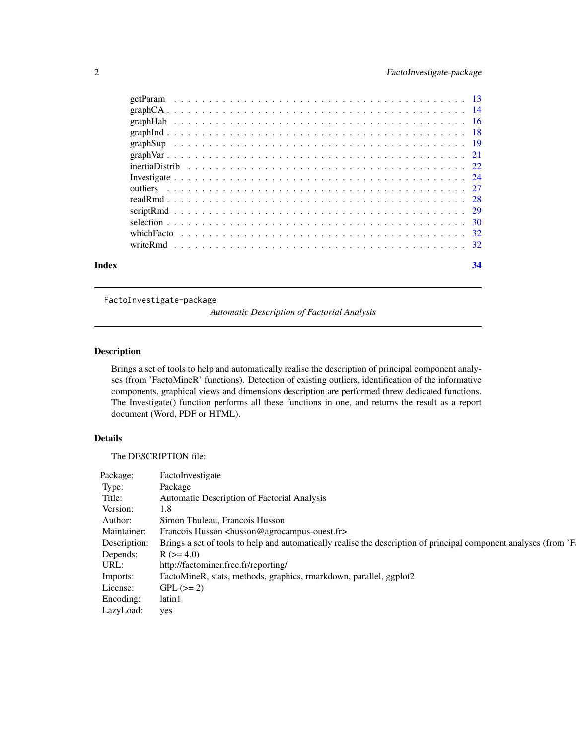<span id="page-1-0"></span>

| Index | 34 |
|-------|----|
|       |    |
|       |    |
|       |    |
|       |    |
|       |    |
|       |    |
|       |    |
|       |    |
|       |    |
|       |    |
|       |    |
|       |    |
|       |    |
|       |    |

FactoInvestigate-package

*Automatic Description of Factorial Analysis*

# Description

Brings a set of tools to help and automatically realise the description of principal component analyses (from 'FactoMineR' functions). Detection of existing outliers, identification of the informative components, graphical views and dimensions description are performed threw dedicated functions. The Investigate() function performs all these functions in one, and returns the result as a report document (Word, PDF or HTML).

# Details

The DESCRIPTION file:

| Package:         | FactoInvestigate                                                                                                              |
|------------------|-------------------------------------------------------------------------------------------------------------------------------|
| Type:            | Package                                                                                                                       |
| Title:           | Automatic Description of Factorial Analysis                                                                                   |
| Version:         | 1.8                                                                                                                           |
| Author:          | Simon Thuleau, Francois Husson                                                                                                |
| Maintainer:      | Francois Husson <husson@agrocampus-ouest.fr></husson@agrocampus-ouest.fr>                                                     |
|                  | Description: Brings a set of tools to help and automatically realise the description of principal component analyses (from 'F |
| Depends:         | $R (= 4.0)$                                                                                                                   |
| URL:             | http://factominer.free.fr/reporting/                                                                                          |
| Imports:         | FactoMineR, stats, methods, graphics, rmarkdown, parallel, ggplot2                                                            |
| License:         | $GPL (= 2)$                                                                                                                   |
| Encoding: latin1 |                                                                                                                               |
| LazyLoad: yes    |                                                                                                                               |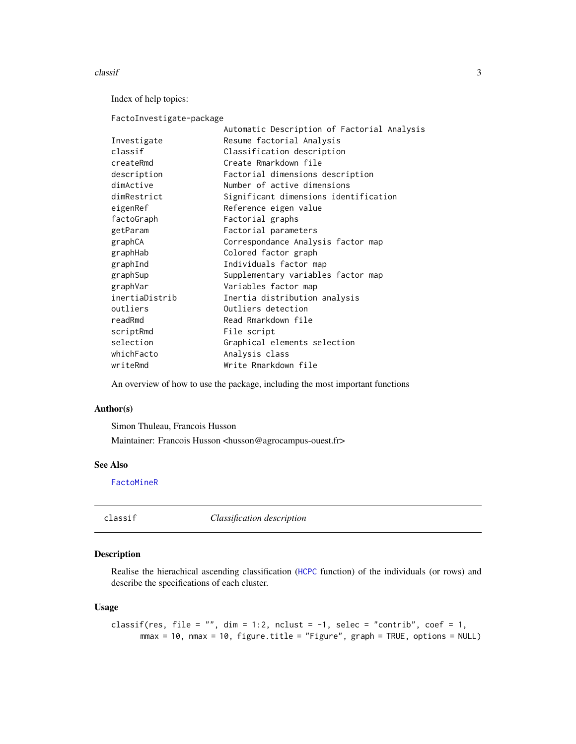#### <span id="page-2-0"></span> $\alpha$  classif  $\beta$  3

Index of help topics:

FactoInvestigate-package

|                | Automatic Description of Factorial Analysis |
|----------------|---------------------------------------------|
| Investigate    | Resume factorial Analysis                   |
| classif        | Classification description                  |
| createRmd      | Create Rmarkdown file                       |
| description    | Factorial dimensions description            |
| dimActive      | Number of active dimensions                 |
| dimRestrict    | Significant dimensions identification       |
| eigenRef       | Reference eigen value                       |
| factoGraph     | Factorial graphs                            |
| getParam       | Factorial parameters                        |
| graphCA        | Correspondance Analysis factor map          |
| graphHab       | Colored factor graph                        |
| graphInd       | Individuals factor map                      |
| graphSup       | Supplementary variables factor map          |
| graphVar       | Variables factor map                        |
| inertiaDistrib | Inertia distribution analysis               |
| outliers       | Outliers detection                          |
| readRmd        | Read Rmarkdown file                         |
| scriptRmd      | File script                                 |
| selection      | Graphical elements selection                |
| whichFacto     | Analysis class                              |
| writeRmd       | Write Rmarkdown file                        |
|                |                                             |

An overview of how to use the package, including the most important functions

# Author(s)

Simon Thuleau, Francois Husson

Maintainer: Francois Husson <husson@agrocampus-ouest.fr>

# See Also

[FactoMineR](#page-0-0)

<span id="page-2-1"></span>classif *Classification description*

#### Description

Realise the hierachical ascending classification ([HCPC](#page-0-0) function) of the individuals (or rows) and describe the specifications of each cluster.

#### Usage

```
classif(res, file = "", dim = 1:2, nclust = -1, selec = "contrib", coef = 1,
      mmax = 10, mmax = 10, figure.title = "Figure", graph = TRUE, options = NULL)
```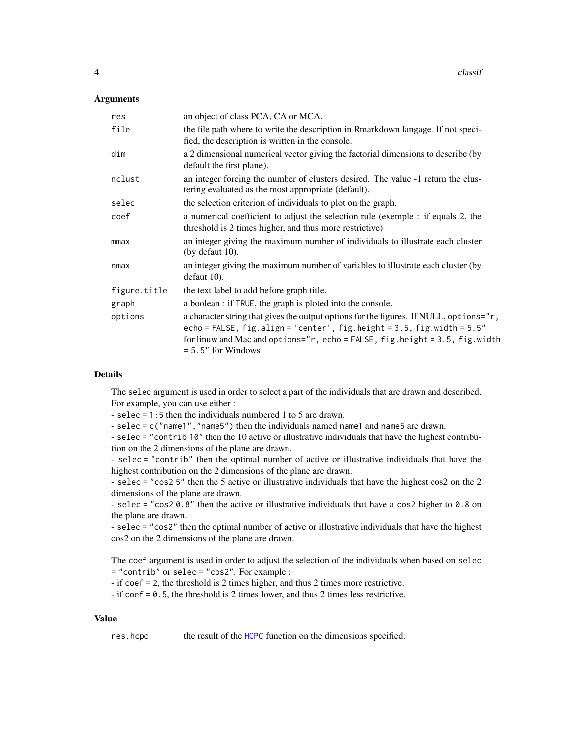#### <span id="page-3-0"></span>**Arguments**

| an object of class PCA, CA or MCA.                                                                                                                                                                                                                                            |
|-------------------------------------------------------------------------------------------------------------------------------------------------------------------------------------------------------------------------------------------------------------------------------|
| the file path where to write the description in Rmarkdown langage. If not speci-<br>fied, the description is written in the console.                                                                                                                                          |
| a 2 dimensional numerical vector giving the factorial dimensions to describe (by<br>default the first plane).                                                                                                                                                                 |
| an integer forcing the number of clusters desired. The value -1 return the clus-<br>tering evaluated as the most appropriate (default).                                                                                                                                       |
| the selection criterion of individuals to plot on the graph.                                                                                                                                                                                                                  |
| a numerical coefficient to adjust the selection rule (exemple : if equals 2, the<br>threshold is 2 times higher, and thus more restrictive)                                                                                                                                   |
| an integer giving the maximum number of individuals to illustrate each cluster<br>(by defaut $10$ ).                                                                                                                                                                          |
| an integer giving the maximum number of variables to illustrate each cluster (by<br>defaut 10.                                                                                                                                                                                |
| the text label to add before graph title.                                                                                                                                                                                                                                     |
| a boolean : if TRUE, the graph is ploted into the console.                                                                                                                                                                                                                    |
| a character string that gives the output options for the figures. If NULL, options="r,<br>echo = FALSE, $fig.align = 'center', fig.height = 3.5, fig.width = 5.5"$<br>for linuw and Mac and options=" $r$ , echo = FALSE, fig.height = 3.5, fig.width<br>$= 5.5"$ for Windows |
|                                                                                                                                                                                                                                                                               |

#### Details

The selec argument is used in order to select a part of the individuals that are drawn and described. For example, you can use either :

- selec = 1:5 then the individuals numbered 1 to 5 are drawn.

- selec = c("name1", "name5") then the individuals named name1 and name5 are drawn.

- selec = "contrib 10" then the 10 active or illustrative individuals that have the highest contribution on the 2 dimensions of the plane are drawn.

- selec = "contrib" then the optimal number of active or illustrative individuals that have the highest contribution on the 2 dimensions of the plane are drawn.

- selec = "cos2 5" then the 5 active or illustrative individuals that have the highest cos2 on the 2 dimensions of the plane are drawn.

- selec = "cos2  $\theta$ .8" then the active or illustrative individuals that have a cos2 higher to  $\theta$ .8 on the plane are drawn.

- selec = "cos2" then the optimal number of active or illustrative individuals that have the highest cos2 on the 2 dimensions of the plane are drawn.

The coef argument is used in order to adjust the selection of the individuals when based on selec = "contrib" or selec = "cos2". For example :

- if coef = 2, the threshold is 2 times higher, and thus 2 times more restrictive.

- if coef = 0.5, the threshold is 2 times lower, and thus 2 times less restrictive.

#### Value

res.hcpc the result of the [HCPC](#page-0-0) function on the dimensions specified.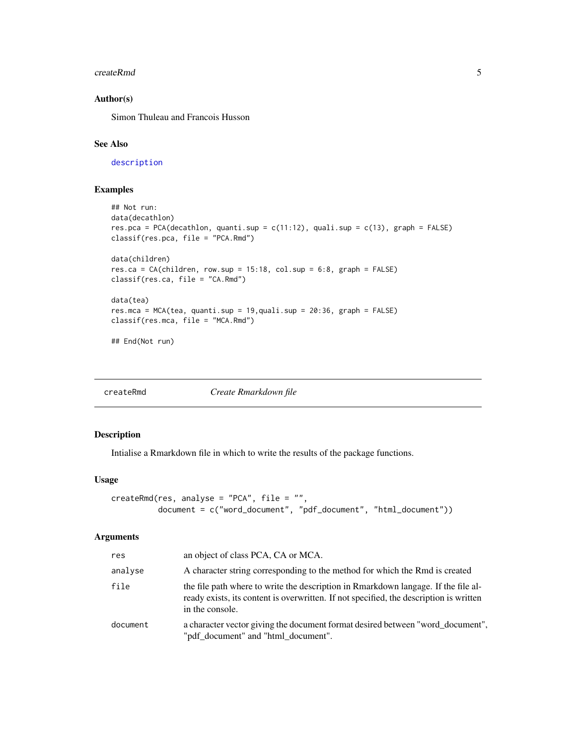#### <span id="page-4-0"></span>createRmd 5

# Author(s)

Simon Thuleau and Francois Husson

# See Also

[description](#page-5-1)

# Examples

```
## Not run:
data(decathlon)
res.pca = PCA(decathlon, quanti.sup = c(11:12), quali.sup = c(13), graph = FALSE)
classif(res.pca, file = "PCA.Rmd")
data(children)
res.ca = CA(children, row.sup = 15:18, col.sup = 6:8, graph = FALSE)
classif(res.ca, file = "CA.Rmd")
data(tea)
res.mca = MCA(tea, quanti.sup = 19,quali.sup = 20:36, graph = FALSE)
classif(res.mca, file = "MCA.Rmd")
## End(Not run)
```
<span id="page-4-1"></span>

| createRmd | Create Rmarkdown file |
|-----------|-----------------------|
|-----------|-----------------------|

# Description

Intialise a Rmarkdown file in which to write the results of the package functions.

# Usage

```
createRmd(res, analyse = "PCA", file = "",
          document = c("word_document", "pdf_document", "html_document"))
```

| res      | an object of class PCA, CA or MCA.                                                                                                                                                              |
|----------|-------------------------------------------------------------------------------------------------------------------------------------------------------------------------------------------------|
| analyse  | A character string corresponding to the method for which the Rmd is created                                                                                                                     |
| file     | the file path where to write the description in Rmarkdown langage. If the file al-<br>ready exists, its content is overwritten. If not specified, the description is written<br>in the console. |
| document | a character vector giving the document format desired between "word_document",<br>"pdf_document" and "html_document".                                                                           |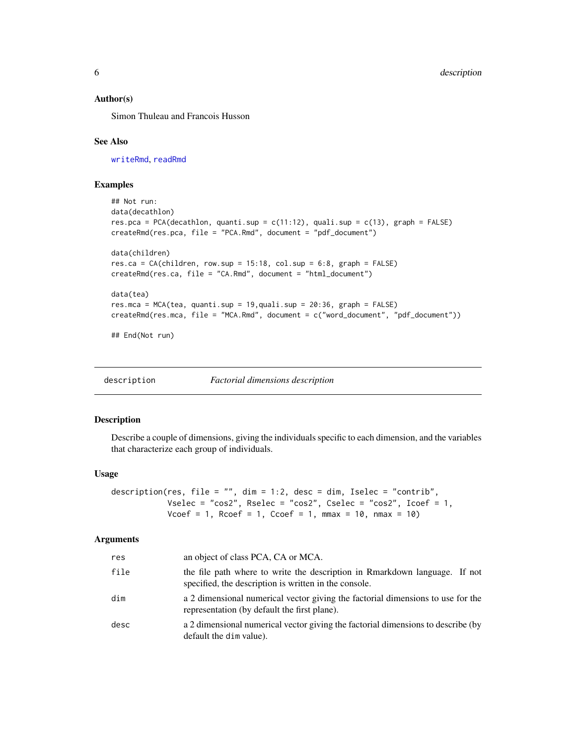#### <span id="page-5-0"></span>Author(s)

Simon Thuleau and Francois Husson

#### See Also

[writeRmd](#page-31-1), [readRmd](#page-27-1)

# Examples

```
## Not run:
data(decathlon)
res.pca = PCA(decathlon, quanti.sup = c(11:12), quali.sup = c(13), graph = FALSE)
createRmd(res.pca, file = "PCA.Rmd", document = "pdf_document")
data(children)
res.ca = CA(children, row.sup = 15:18, col.sup = 6:8, graph = FALSE)
createRmd(res.ca, file = "CA.Rmd", document = "html_document")
data(tea)
res.mca = MCA(tea, quanti.sup = 19,quali.sup = 20:36, graph = FALSE)
createRmd(res.mca, file = "MCA.Rmd", document = c("word_document", "pdf_document"))
## End(Not run)
```
<span id="page-5-1"></span>

| description | <b>Factorial dimensions description</b> |
|-------------|-----------------------------------------|
|             |                                         |

# Description

Describe a couple of dimensions, giving the individuals specific to each dimension, and the variables that characterize each group of individuals.

#### Usage

```
description(res, file = "", dim = 1:2, desc = dim, Iselec = "contrib",
              Vselec = "cos2", Rselec = "cos2", Cselec = "cos2", Icoef = 1,
              V\text{coef} = 1, R\text{coef} = 1, C\text{coef} = 1, m\text{max} = 10, n\text{max} = 10)
```

| res  | an object of class PCA, CA or MCA.                                                                                                  |
|------|-------------------------------------------------------------------------------------------------------------------------------------|
| file | the file path where to write the description in Rmarkdown language. If not<br>specified, the description is written in the console. |
| dim  | a 2 dimensional numerical vector giving the factorial dimensions to use for the<br>representation (by default the first plane).     |
| desc | a 2 dimensional numerical vector giving the factorial dimensions to describe (by<br>default the dim value).                         |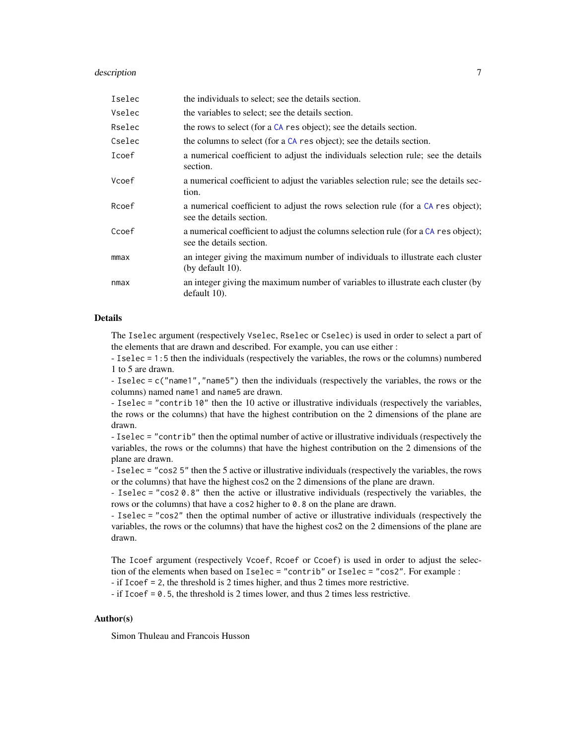#### <span id="page-6-0"></span>description **7**

| Iselec | the individuals to select; see the details section.                                                             |
|--------|-----------------------------------------------------------------------------------------------------------------|
| Vselec | the variables to select; see the details section.                                                               |
| Rselec | the rows to select (for a CA res object); see the details section.                                              |
| Cselec | the columns to select (for a CA res object); see the details section.                                           |
| Icoef  | a numerical coefficient to adjust the individuals selection rule; see the details<br>section.                   |
| Vcoef  | a numerical coefficient to adjust the variables selection rule; see the details sec-<br>tion.                   |
| Rcoef  | a numerical coefficient to adjust the rows selection rule (for a CA res object);<br>see the details section.    |
| Ccoef  | a numerical coefficient to adjust the columns selection rule (for a CA res object);<br>see the details section. |
| mmax   | an integer giving the maximum number of individuals to illustrate each cluster<br>(by default $10$ ).           |
| nmax   | an integer giving the maximum number of variables to illustrate each cluster (by<br>default 10).                |

#### Details

The Iselec argument (respectively Vselec, Rselec or Cselec) is used in order to select a part of the elements that are drawn and described. For example, you can use either :

- Iselec = 1:5 then the individuals (respectively the variables, the rows or the columns) numbered 1 to 5 are drawn.

- Iselec = c("name1","name5") then the individuals (respectively the variables, the rows or the columns) named name1 and name5 are drawn.

- Iselec = "contrib 10" then the 10 active or illustrative individuals (respectively the variables, the rows or the columns) that have the highest contribution on the 2 dimensions of the plane are drawn.

- Iselec = "contrib" then the optimal number of active or illustrative individuals (respectively the variables, the rows or the columns) that have the highest contribution on the 2 dimensions of the plane are drawn.

- Iselec = "cos2 5" then the 5 active or illustrative individuals (respectively the variables, the rows or the columns) that have the highest cos2 on the 2 dimensions of the plane are drawn.

- Iselec = "cos2 0.8" then the active or illustrative individuals (respectively the variables, the rows or the columns) that have a cos2 higher to 0.8 on the plane are drawn.

- Iselec = "cos2" then the optimal number of active or illustrative individuals (respectively the variables, the rows or the columns) that have the highest cos2 on the 2 dimensions of the plane are drawn.

The Icoef argument (respectively Vcoef, Rcoef or Ccoef) is used in order to adjust the selection of the elements when based on Iselec = "contrib" or Iselec = "cos2". For example :

- if Icoef = 2, the threshold is 2 times higher, and thus 2 times more restrictive.

- if Icoef = 0.5, the threshold is 2 times lower, and thus 2 times less restrictive.

# Author(s)

Simon Thuleau and Francois Husson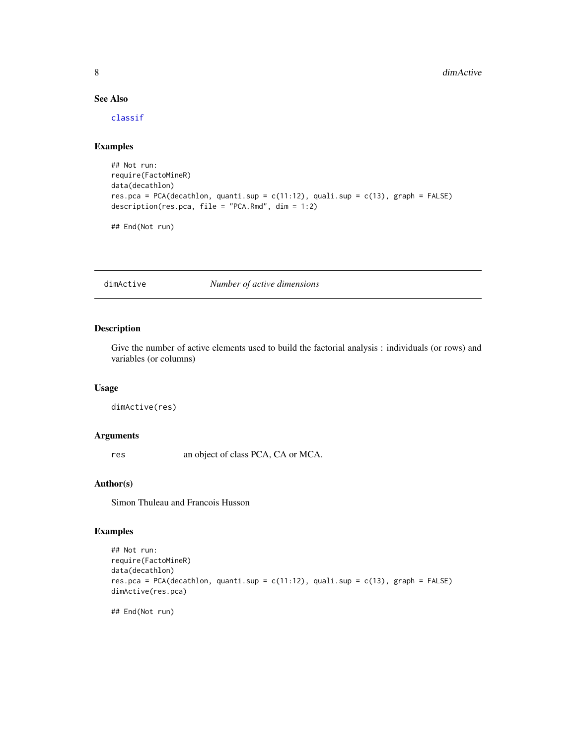# See Also

[classif](#page-2-1)

# Examples

```
## Not run:
require(FactoMineR)
data(decathlon)
res.pca = PCA(decathlon, quanti.sup = c(11:12), quali.sup = c(13), graph = FALSE)
description(res.pca, file = "PCA.Rmd", dim = 1:2)
```
## End(Not run)

dimActive *Number of active dimensions*

# Description

Give the number of active elements used to build the factorial analysis : individuals (or rows) and variables (or columns)

# Usage

dimActive(res)

#### Arguments

res an object of class PCA, CA or MCA.

#### Author(s)

Simon Thuleau and Francois Husson

# Examples

```
## Not run:
require(FactoMineR)
data(decathlon)
res.pca = PCA(decathlon, quanti.sup = c(11:12), quali.sup = c(13), graph = FALSE)
dimActive(res.pca)
```
## End(Not run)

<span id="page-7-0"></span>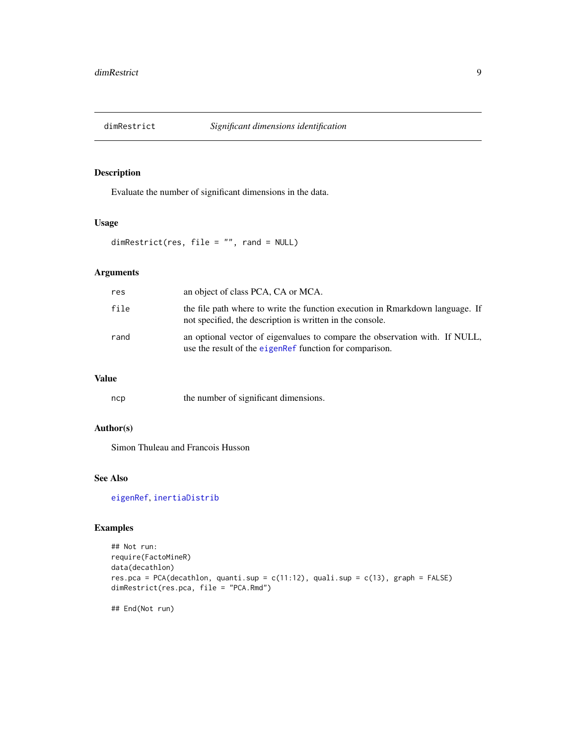<span id="page-8-1"></span><span id="page-8-0"></span>

# Description

Evaluate the number of significant dimensions in the data.

# Usage

dimRestrict(res, file = "", rand = NULL)

# Arguments

| res  | an object of class PCA, CA or MCA.                                                                                                         |
|------|--------------------------------------------------------------------------------------------------------------------------------------------|
| file | the file path where to write the function execution in Rmarkdown language. If<br>not specified, the description is written in the console. |
| rand | an optional vector of eigenvalues to compare the observation with. If NULL,<br>use the result of the eigenRef function for comparison.     |

# Value

| ncp | the number of significant dimensions. |
|-----|---------------------------------------|
|-----|---------------------------------------|

# Author(s)

Simon Thuleau and Francois Husson

# See Also

[eigenRef](#page-9-1), [inertiaDistrib](#page-21-1)

#### Examples

```
## Not run:
require(FactoMineR)
data(decathlon)
res.pca = PCA(decathlon, quanti.sup = c(11:12), quali.sup = c(13), graph = FALSE)
dimRestrict(res.pca, file = "PCA.Rmd")
```
## End(Not run)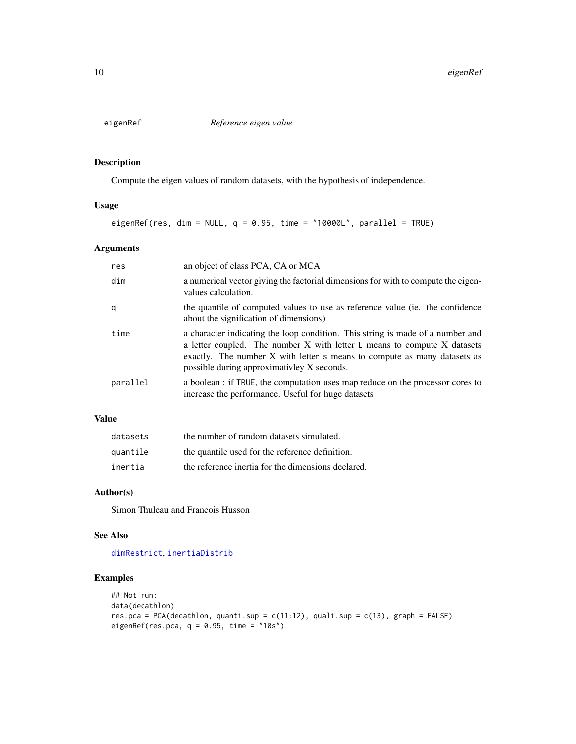<span id="page-9-1"></span><span id="page-9-0"></span>

# Description

Compute the eigen values of random datasets, with the hypothesis of independence.

#### Usage

eigenRef(res, dim = NULL,  $q = 0.95$ , time = "10000L", parallel = TRUE)

# Arguments

| res      | an object of class PCA, CA or MCA                                                                                                                                                                                                                                                          |
|----------|--------------------------------------------------------------------------------------------------------------------------------------------------------------------------------------------------------------------------------------------------------------------------------------------|
| dim      | a numerical vector giving the factorial dimensions for with to compute the eigen-<br>values calculation.                                                                                                                                                                                   |
| q        | the quantile of computed values to use as reference value (ie. the confidence<br>about the signification of dimensions)                                                                                                                                                                    |
| time     | a character indicating the loop condition. This string is made of a number and<br>a letter coupled. The number $X$ with letter $L$ means to compute $X$ datasets<br>exactly. The number X with letter s means to compute as many datasets as<br>possible during approximativley X seconds. |
| parallel | a boolean : if TRUE, the computation uses map reduce on the processor cores to<br>increase the performance. Useful for huge datasets                                                                                                                                                       |

# Value

| datasets | the number of random datasets simulated.           |
|----------|----------------------------------------------------|
| quantile | the quantile used for the reference definition.    |
| inertia  | the reference inertia for the dimensions declared. |

# Author(s)

Simon Thuleau and Francois Husson

# See Also

[dimRestrict](#page-8-1), [inertiaDistrib](#page-21-1)

# Examples

```
## Not run:
data(decathlon)
res.pca = PCA(decathlon, quanti.sup = c(11:12), quali.sup = c(13), graph = FALSE)
eigenRef(res.pca, q = 0.95, time = "10s")
```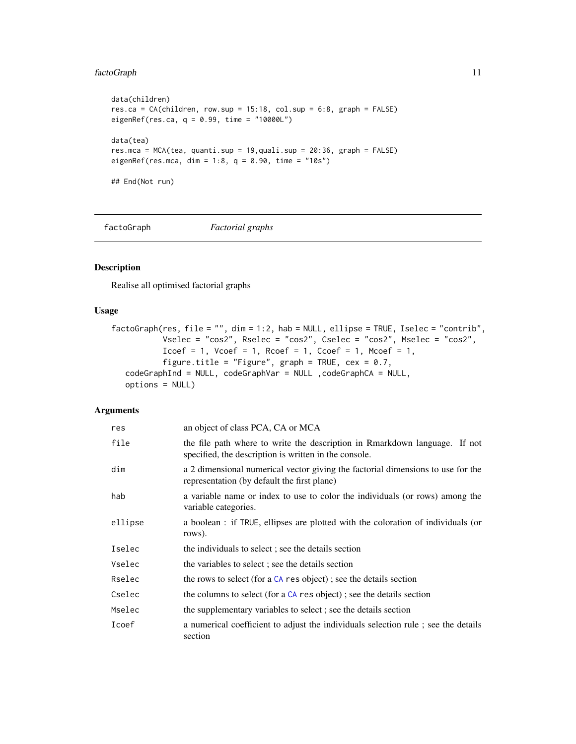# <span id="page-10-0"></span>factoGraph 11

```
data(children)
res.ca = CA(children, row.sup = 15:18, col.sup = 6:8, graph = FALSE)
eigenRef(res.ca, q = 0.99, time = "10000L")
data(tea)
res.mca = MCA(tea, quanti.sup = 19,quali.sup = 20:36, graph = FALSE)
eigenRef(res.mca, dim = 1:8, q = 0.90, time = "10s")
## End(Not run)
```
<span id="page-10-1"></span>factoGraph *Factorial graphs*

#### Description

Realise all optimised factorial graphs

# Usage

```
factoGraph(res, file = "", dim = 1:2, hab = NULL, ellipse = TRUE, Iselec = "contrib",
           Vselec = "cos2", Rselec = "cos2", Cselec = "cos2", Mselec = "cos2",
           Icoef = 1, Vcoef = 1, Rcoef = 1, Ccoef = 1, Mcoef = 1,
           figure.title = "Figure", graph = TRUE, cex = 0.7,
   codeGraphInd = NULL, codeGraphVar = NULL , codeGraphCA = NULL,
  options = NULL)
```

| res     | an object of class PCA, CA or MCA                                                                                                   |
|---------|-------------------------------------------------------------------------------------------------------------------------------------|
| file    | the file path where to write the description in Rmarkdown language. If not<br>specified, the description is written in the console. |
| dim     | a 2 dimensional numerical vector giving the factorial dimensions to use for the<br>representation (by default the first plane)      |
| hab     | a variable name or index to use to color the individuals (or rows) among the<br>variable categories.                                |
| ellipse | a boolean : if TRUE, ellipses are plotted with the coloration of individuals (or<br>rows).                                          |
| Iselec  | the individuals to select; see the details section                                                                                  |
| Vselec  | the variables to select; see the details section                                                                                    |
| Rselec  | the rows to select (for a $CA$ res object); see the details section                                                                 |
| Cselec  | the columns to select (for a $CA$ res object); see the details section                                                              |
| Mselec  | the supplementary variables to select; see the details section                                                                      |
| Icoef   | a numerical coefficient to adjust the individuals selection rule; see the details<br>section                                        |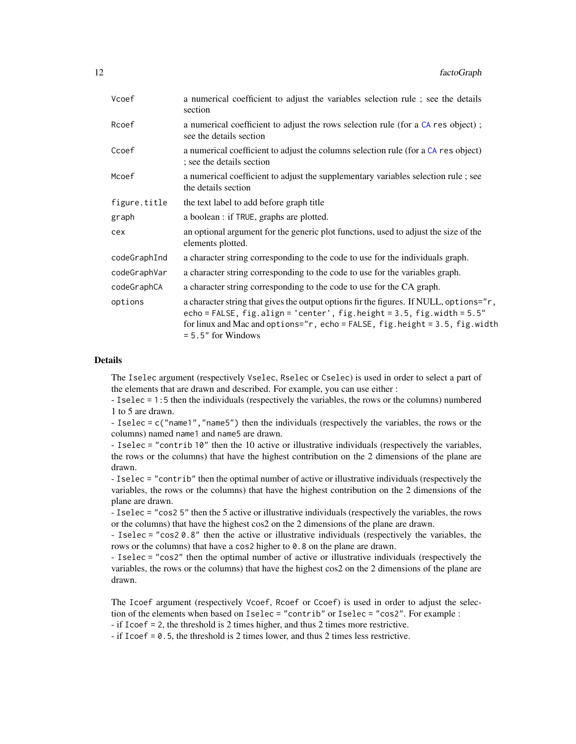<span id="page-11-0"></span>

| Vcoef        | a numerical coefficient to adjust the variables selection rule; see the details<br>section                                                                                                                                                                                             |
|--------------|----------------------------------------------------------------------------------------------------------------------------------------------------------------------------------------------------------------------------------------------------------------------------------------|
| Rcoef        | a numerical coefficient to adjust the rows selection rule (for a CA res object);<br>see the details section                                                                                                                                                                            |
| Ccoef        | a numerical coefficient to adjust the columns selection rule (for a CA res object)<br>; see the details section                                                                                                                                                                        |
| Mcoef        | a numerical coefficient to adjust the supplementary variables selection rule; see<br>the details section                                                                                                                                                                               |
| figure.title | the text label to add before graph title                                                                                                                                                                                                                                               |
| graph        | a boolean : if TRUE, graphs are plotted.                                                                                                                                                                                                                                               |
| cex          | an optional argument for the generic plot functions, used to adjust the size of the<br>elements plotted.                                                                                                                                                                               |
| codeGraphInd | a character string corresponding to the code to use for the individuals graph.                                                                                                                                                                                                         |
| codeGraphVar | a character string corresponding to the code to use for the variables graph.                                                                                                                                                                                                           |
| codeGraphCA  | a character string corresponding to the code to use for the CA graph.                                                                                                                                                                                                                  |
| options      | a character string that gives the output options fir the figures. If NULL, options="r,<br>echo = FALSE, $fig$ .align = 'center', $fig$ .height = 3.5, $fig$ .width = $5.5"$<br>for linux and Mac and options=" $r$ , echo = FALSE, fig.height = 3.5, fig.width<br>$= 5.5"$ for Windows |

#### Details

The Iselec argument (respectively Vselec, Rselec or Cselec) is used in order to select a part of the elements that are drawn and described. For example, you can use either :

- Iselec = 1:5 then the individuals (respectively the variables, the rows or the columns) numbered 1 to 5 are drawn.

- Iselec = c("name1","name5") then the individuals (respectively the variables, the rows or the columns) named name1 and name5 are drawn.

- Iselec = "contrib 10" then the 10 active or illustrative individuals (respectively the variables, the rows or the columns) that have the highest contribution on the 2 dimensions of the plane are drawn.

- Iselec = "contrib" then the optimal number of active or illustrative individuals (respectively the variables, the rows or the columns) that have the highest contribution on the 2 dimensions of the plane are drawn.

- Iselec = "cos2 5" then the 5 active or illustrative individuals (respectively the variables, the rows or the columns) that have the highest cos2 on the 2 dimensions of the plane are drawn.

- Iselec = "cos2 0.8" then the active or illustrative individuals (respectively the variables, the rows or the columns) that have a cos2 higher to 0.8 on the plane are drawn.

- Iselec = "cos2" then the optimal number of active or illustrative individuals (respectively the variables, the rows or the columns) that have the highest cos2 on the 2 dimensions of the plane are drawn.

The Icoef argument (respectively Vcoef, Rcoef or Ccoef) is used in order to adjust the selection of the elements when based on Iselec = "contrib" or Iselec = "cos2". For example :

- if Icoef = 2, the threshold is 2 times higher, and thus 2 times more restrictive.

- if Icoef = 0.5, the threshold is 2 times lower, and thus 2 times less restrictive.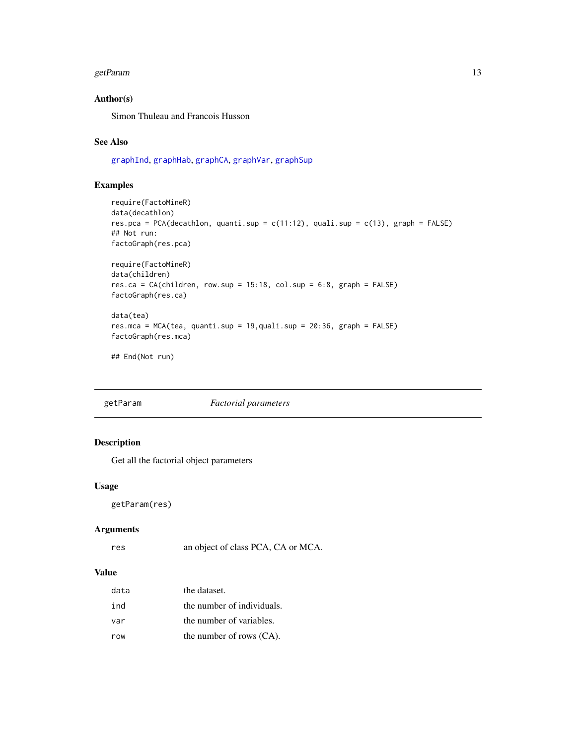#### <span id="page-12-0"></span>getParam and the set of the set of the set of the set of the set of the set of the set of the set of the set of the set of the set of the set of the set of the set of the set of the set of the set of the set of the set of

# Author(s)

Simon Thuleau and Francois Husson

# See Also

[graphInd](#page-17-1), [graphHab](#page-15-1), [graphCA](#page-13-1), [graphVar](#page-20-1), [graphSup](#page-18-1)

# Examples

```
require(FactoMineR)
data(decathlon)
res.pca = PCA(decathlon, quanti.sup = c(11:12), quali.sup = c(13), graph = FALSE)
## Not run:
factoGraph(res.pca)
require(FactoMineR)
data(children)
res.ca = CA(children, row.sub = 15:18, col.sub = 6:8, graph = FALSE)factoGraph(res.ca)
data(tea)
res.mca = MCA(tea, quanti.sup = 19,quali.sup = 20:36, graph = FALSE)
factoGraph(res.mca)
```
## End(Not run)

getParam *Factorial parameters*

# Description

Get all the factorial object parameters

# Usage

getParam(res)

# Arguments

res an object of class PCA, CA or MCA.

# Value

| data | the dataset.               |
|------|----------------------------|
| ind  | the number of individuals. |
| var  | the number of variables.   |
| row  | the number of rows (CA).   |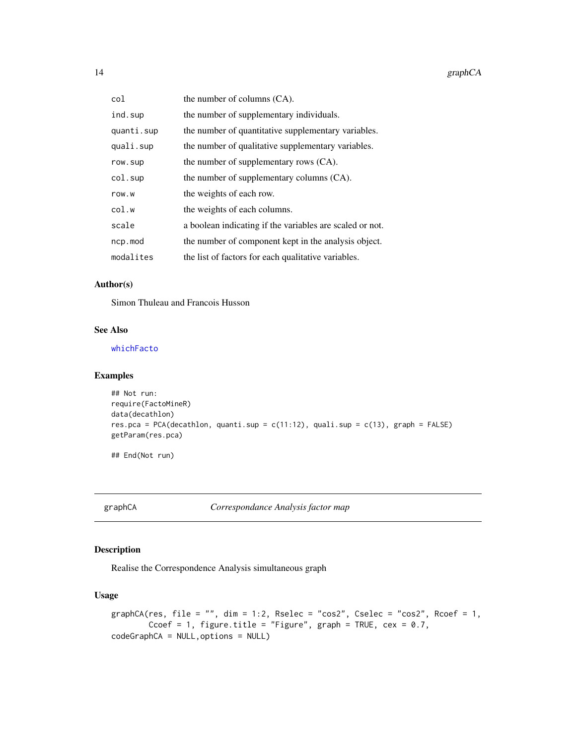<span id="page-13-0"></span>

| col        | the number of columns (CA).                              |
|------------|----------------------------------------------------------|
| ind.sup    | the number of supplementary individuals.                 |
| quanti.sup | the number of quantitative supplementary variables.      |
| quali.sup  | the number of qualitative supplementary variables.       |
| row.sup    | the number of supplementary rows (CA).                   |
| col.sup    | the number of supplementary columns (CA).                |
| row.w      | the weights of each row.                                 |
| col.w      | the weights of each columns.                             |
| scale      | a boolean indicating if the variables are scaled or not. |
| ncp.mod    | the number of component kept in the analysis object.     |
| modalites  | the list of factors for each qualitative variables.      |

# Author(s)

Simon Thuleau and Francois Husson

# See Also

# [whichFacto](#page-31-2)

# Examples

```
## Not run:
require(FactoMineR)
data(decathlon)
res.pca = PCA(decathlon, quanti.sup = c(11:12), quali.sup = c(13), graph = FALSE)
getParam(res.pca)
```
## End(Not run)

<span id="page-13-1"></span>graphCA *Correspondance Analysis factor map*

# Description

Realise the Correspondence Analysis simultaneous graph

# Usage

```
graphCA(res, file = "", dim = 1:2, Rselec = "cos2", Cselec = "cos2", Rcoef = 1,
       Ccoef = 1, figure.title = "Figure", graph = TRUE, cex = 0.7,
codeGraphCA = NULL,options = NULL)
```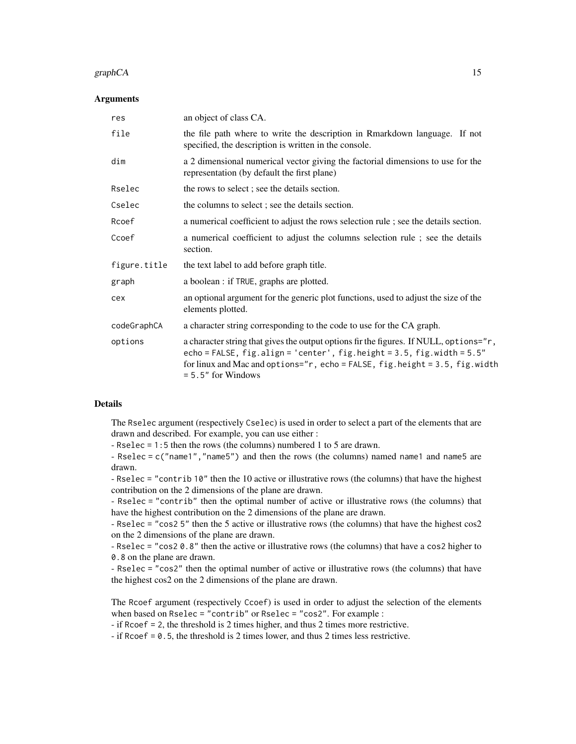#### graphCA  $\qquad 15$

#### **Arguments**

| res          | an object of class CA.                                                                                                                                                                                                                                                             |
|--------------|------------------------------------------------------------------------------------------------------------------------------------------------------------------------------------------------------------------------------------------------------------------------------------|
| file         | the file path where to write the description in Rmarkdown language. If not<br>specified, the description is written in the console.                                                                                                                                                |
| dim          | a 2 dimensional numerical vector giving the factorial dimensions to use for the<br>representation (by default the first plane)                                                                                                                                                     |
| Rselec       | the rows to select; see the details section.                                                                                                                                                                                                                                       |
| Cselec       | the columns to select; see the details section.                                                                                                                                                                                                                                    |
| Rcoef        | a numerical coefficient to adjust the rows selection rule; see the details section.                                                                                                                                                                                                |
| Ccoef        | a numerical coefficient to adjust the columns selection rule; see the details<br>section.                                                                                                                                                                                          |
| figure.title | the text label to add before graph title.                                                                                                                                                                                                                                          |
| graph        | a boolean : if TRUE, graphs are plotted.                                                                                                                                                                                                                                           |
| cex          | an optional argument for the generic plot functions, used to adjust the size of the<br>elements plotted.                                                                                                                                                                           |
| codeGraphCA  | a character string corresponding to the code to use for the CA graph.                                                                                                                                                                                                              |
| options      | a character string that gives the output options fir the figures. If NULL, options="r,<br>echo = FALSE, $fig$ .align = 'center', $fig$ .height = 3.5, $fig$ .width = $5.5"$<br>for linux and Mac and options="r, echo = FALSE, fig.height = 3.5, fig.width<br>$= 5.5"$ for Windows |

#### Details

The Rselec argument (respectively Cselec) is used in order to select a part of the elements that are drawn and described. For example, you can use either :

- Rselec = 1:5 then the rows (the columns) numbered 1 to 5 are drawn.

- Rselec = c("name1","name5") and then the rows (the columns) named name1 and name5 are drawn.

- Rselec = "contrib 10" then the 10 active or illustrative rows (the columns) that have the highest contribution on the 2 dimensions of the plane are drawn.

- Rselec = "contrib" then the optimal number of active or illustrative rows (the columns) that have the highest contribution on the 2 dimensions of the plane are drawn.

- Rselec = "cos2 5" then the 5 active or illustrative rows (the columns) that have the highest cos2 on the 2 dimensions of the plane are drawn.

- Rselec = "cos2 0.8" then the active or illustrative rows (the columns) that have a cos2 higher to 0.8 on the plane are drawn.

- Rselec = "cos2" then the optimal number of active or illustrative rows (the columns) that have the highest cos2 on the 2 dimensions of the plane are drawn.

The Rcoef argument (respectively Ccoef) is used in order to adjust the selection of the elements when based on Rselec = "contrib" or Rselec = "cos2". For example :

- if Rcoef = 2, the threshold is 2 times higher, and thus 2 times more restrictive.

- if Rcoef = 0.5, the threshold is 2 times lower, and thus 2 times less restrictive.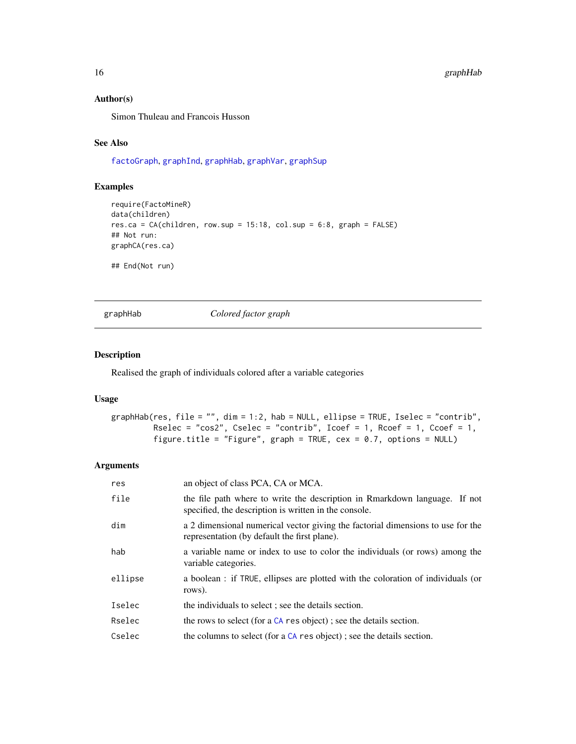# Author(s)

Simon Thuleau and Francois Husson

# See Also

[factoGraph](#page-10-1), [graphInd](#page-17-1), [graphHab](#page-15-1), [graphVar](#page-20-1), [graphSup](#page-18-1)

# Examples

```
require(FactoMineR)
data(children)
res.ca = CA(children, row.sup = 15:18, col.sup = 6:8, graph = FALSE)
## Not run:
graphCA(res.ca)
## End(Not run)
```
graphHab *Colored factor graph*

#### Description

Realised the graph of individuals colored after a variable categories

# Usage

```
graphHab(res, file = "", dim = 1:2, hab = NULL, ellipse = TRUE, Iselec = "contrib",
        Rselec = "cos2", Cselec = "contrib", Icoef = 1, Rcoef = 1, Ccoef = 1,
        figure.title = "Figure", graph = TRUE, cex = 0.7, options = NULL)
```

| res     | an object of class PCA, CA or MCA.                                                                                                  |
|---------|-------------------------------------------------------------------------------------------------------------------------------------|
| file    | the file path where to write the description in Rmarkdown language. If not<br>specified, the description is written in the console. |
| dim     | a 2 dimensional numerical vector giving the factorial dimensions to use for the<br>representation (by default the first plane).     |
| hab     | a variable name or index to use to color the individuals (or rows) among the<br>variable categories.                                |
| ellipse | a boolean : if TRUE, ellipses are plotted with the coloration of individuals (or<br>rows).                                          |
| Iselec  | the individuals to select; see the details section.                                                                                 |
| Rselec  | the rows to select (for a $CA$ res object); see the details section.                                                                |
| Cselec  | the columns to select (for a $CA$ res object); see the details section.                                                             |

<span id="page-15-0"></span>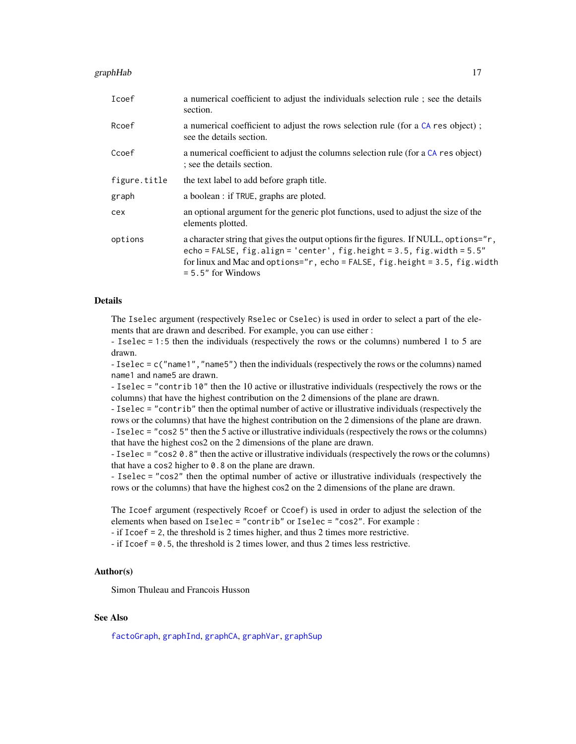#### <span id="page-16-0"></span>graphHab 17

| Icoef        | a numerical coefficient to adjust the individuals selection rule; see the details<br>section.                                                                                                                                                                                             |
|--------------|-------------------------------------------------------------------------------------------------------------------------------------------------------------------------------------------------------------------------------------------------------------------------------------------|
| Rcoef        | a numerical coefficient to adjust the rows selection rule (for a CA res object);<br>see the details section.                                                                                                                                                                              |
| Ccoef        | a numerical coefficient to adjust the columns selection rule (for a CA res object)<br>; see the details section.                                                                                                                                                                          |
| figure.title | the text label to add before graph title.                                                                                                                                                                                                                                                 |
| graph        | a boolean : if TRUE, graphs are ploted.                                                                                                                                                                                                                                                   |
| cex          | an optional argument for the generic plot functions, used to adjust the size of the<br>elements plotted.                                                                                                                                                                                  |
| options      | a character string that gives the output options fir the figures. If NULL, options="r,<br>echo = FALSE, $fig$ . align = 'center', $fig$ . height = 3.5, $fig$ . width = $5.5"$<br>for linux and Mac and options=" $r$ , echo = FALSE, fig.height = 3.5, fig.width<br>$= 5.5"$ for Windows |

# Details

The Iselec argument (respectively Rselec or Cselec) is used in order to select a part of the elements that are drawn and described. For example, you can use either :

- Iselec = 1:5 then the individuals (respectively the rows or the columns) numbered 1 to 5 are drawn.

- Iselec = c("name1","name5") then the individuals (respectively the rows or the columns) named name1 and name5 are drawn.

- Iselec = "contrib 10" then the 10 active or illustrative individuals (respectively the rows or the columns) that have the highest contribution on the 2 dimensions of the plane are drawn.

- Iselec = "contrib" then the optimal number of active or illustrative individuals (respectively the rows or the columns) that have the highest contribution on the 2 dimensions of the plane are drawn. - Iselec = "cos2 5" then the 5 active or illustrative individuals (respectively the rows or the columns) that have the highest cos2 on the 2 dimensions of the plane are drawn.

- Iselec = "cos2 0.8" then the active or illustrative individuals (respectively the rows or the columns) that have a cos2 higher to 0.8 on the plane are drawn.

- Iselec = "cos2" then the optimal number of active or illustrative individuals (respectively the rows or the columns) that have the highest cos2 on the 2 dimensions of the plane are drawn.

The Icoef argument (respectively Rcoef or Ccoef) is used in order to adjust the selection of the elements when based on Iselec = "contrib" or Iselec = "cos2". For example :

- if Icoef = 2, the threshold is 2 times higher, and thus 2 times more restrictive.

 $-$  if Icoef = 0.5, the threshold is 2 times lower, and thus 2 times less restrictive.

#### Author(s)

Simon Thuleau and Francois Husson

# See Also

[factoGraph](#page-10-1), [graphInd](#page-17-1), [graphCA](#page-13-1), [graphVar](#page-20-1), [graphSup](#page-18-1)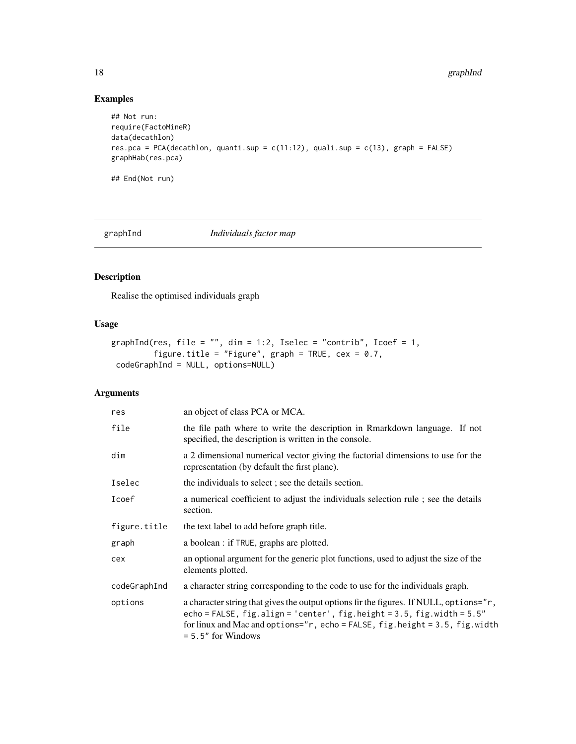# Examples

```
## Not run:
require(FactoMineR)
data(decathlon)
res.pca = PCA(decathlon, quanti.sup = c(11:12), quali.sup = c(13), graph = FALSE)
graphHab(res.pca)
```
## End(Not run)

<span id="page-17-1"></span>graphInd *Individuals factor map*

# Description

Realise the optimised individuals graph

# Usage

```
graphInd(res, file = "", dim = 1:2, Iselec = "contrib", Icoef = 1,
         figure.title = "Figure", graph = TRUE, cex = 0.7,
codeGraphInd = NULL, options=NULL)
```

| res          | an object of class PCA or MCA.                                                                                                                                                                                                                                                         |
|--------------|----------------------------------------------------------------------------------------------------------------------------------------------------------------------------------------------------------------------------------------------------------------------------------------|
| file         | the file path where to write the description in Rmarkdown language. If not<br>specified, the description is written in the console.                                                                                                                                                    |
| dim          | a 2 dimensional numerical vector giving the factorial dimensions to use for the<br>representation (by default the first plane).                                                                                                                                                        |
| Iselec       | the individuals to select; see the details section.                                                                                                                                                                                                                                    |
| Icoef        | a numerical coefficient to adjust the individuals selection rule; see the details<br>section.                                                                                                                                                                                          |
| figure.title | the text label to add before graph title.                                                                                                                                                                                                                                              |
| graph        | a boolean : if TRUE, graphs are plotted.                                                                                                                                                                                                                                               |
| cex          | an optional argument for the generic plot functions, used to adjust the size of the<br>elements plotted.                                                                                                                                                                               |
| codeGraphInd | a character string corresponding to the code to use for the individuals graph.                                                                                                                                                                                                         |
| options      | a character string that gives the output options fir the figures. If NULL, options="r,<br>echo = FALSE, $fig$ .align = 'center', $fig$ .height = 3.5, $fig$ .width = $5.5"$<br>for linux and Mac and options=" $r$ , echo = FALSE, fig.height = 3.5, fig.width<br>$= 5.5"$ for Windows |

<span id="page-17-0"></span>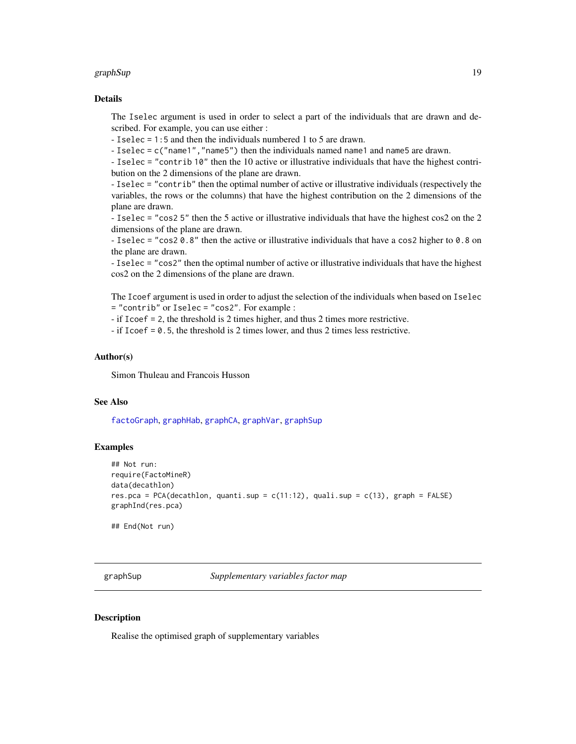#### <span id="page-18-0"></span>graphSup 19

# Details

The Iselec argument is used in order to select a part of the individuals that are drawn and described. For example, you can use either :

- Iselec = 1:5 and then the individuals numbered 1 to 5 are drawn.

- Iselec = c("name1","name5") then the individuals named name1 and name5 are drawn.

- Iselec = "contrib 10" then the 10 active or illustrative individuals that have the highest contribution on the 2 dimensions of the plane are drawn.

- Iselec = "contrib" then the optimal number of active or illustrative individuals (respectively the variables, the rows or the columns) that have the highest contribution on the 2 dimensions of the plane are drawn.

- Iselec = "cos2 5" then the 5 active or illustrative individuals that have the highest cos2 on the 2 dimensions of the plane are drawn.

- Iselec = "cos2 0.8" then the active or illustrative individuals that have a cos2 higher to 0.8 on the plane are drawn.

- Iselec = "cos2" then the optimal number of active or illustrative individuals that have the highest cos2 on the 2 dimensions of the plane are drawn.

The Icoef argument is used in order to adjust the selection of the individuals when based on Iselec = "contrib" or Iselec = "cos2". For example :

- if Icoef = 2, the threshold is 2 times higher, and thus 2 times more restrictive.

- if Icoef = 0.5, the threshold is 2 times lower, and thus 2 times less restrictive.

#### Author(s)

Simon Thuleau and Francois Husson

# See Also

[factoGraph](#page-10-1), [graphHab](#page-15-1), [graphCA](#page-13-1), [graphVar](#page-20-1), [graphSup](#page-18-1)

# Examples

```
## Not run:
require(FactoMineR)
data(decathlon)
res.pca = PCA(decathlon, quanti.sup = c(11:12), quali.sup = c(13), graph = FALSE)
graphInd(res.pca)
```
## End(Not run)

<span id="page-18-1"></span>graphSup *Supplementary variables factor map*

# **Description**

Realise the optimised graph of supplementary variables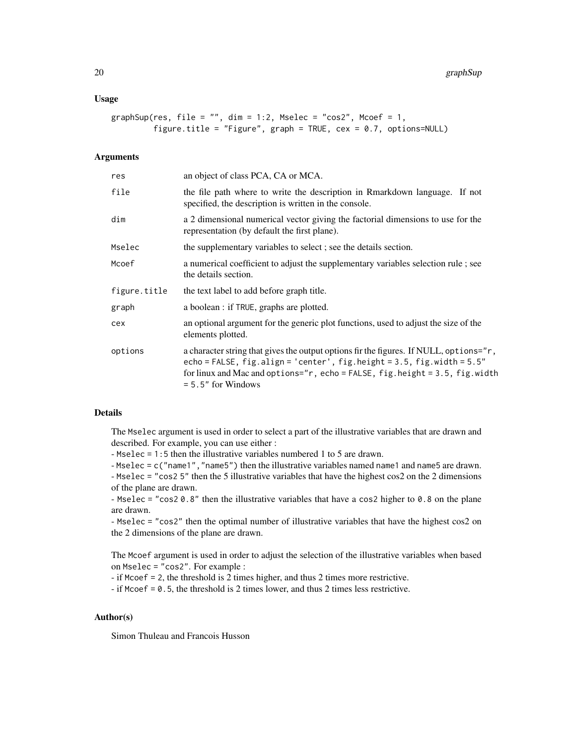#### Usage

```
graphSup(res, file = ", dim = 1:2, Mselec = "cos2", Mcoef = 1,
        figure.title = "Figure", graph = TRUE, cex = 0.7, options=NULL)
```
#### **Arguments**

| res          | an object of class PCA, CA or MCA.                                                                                                                                                                                                                                           |
|--------------|------------------------------------------------------------------------------------------------------------------------------------------------------------------------------------------------------------------------------------------------------------------------------|
| file         | the file path where to write the description in Rmarkdown language. If not<br>specified, the description is written in the console.                                                                                                                                          |
| dim          | a 2 dimensional numerical vector giving the factorial dimensions to use for the<br>representation (by default the first plane).                                                                                                                                              |
| Mselec       | the supplementary variables to select; see the details section.                                                                                                                                                                                                              |
| Mcoef        | a numerical coefficient to adjust the supplementary variables selection rule; see<br>the details section.                                                                                                                                                                    |
| figure.title | the text label to add before graph title.                                                                                                                                                                                                                                    |
| graph        | a boolean : if TRUE, graphs are plotted.                                                                                                                                                                                                                                     |
| cex          | an optional argument for the generic plot functions, used to adjust the size of the<br>elements plotted.                                                                                                                                                                     |
| options      | a character string that gives the output options fir the figures. If NULL, options="r,<br>echo = FALSE, $fig. align = 'center', fig. height = 3.5, fig. width = 5.5"$<br>for linux and Mac and options="r, echo = FALSE, fig.height = 3.5, fig.width<br>$= 5.5"$ for Windows |

# Details

The Mselec argument is used in order to select a part of the illustrative variables that are drawn and described. For example, you can use either :

- Mselec = 1:5 then the illustrative variables numbered 1 to 5 are drawn.

- Mselec = c("name1","name5") then the illustrative variables named name1 and name5 are drawn.

- Mselec = "cos2 5" then the 5 illustrative variables that have the highest cos2 on the 2 dimensions of the plane are drawn.

- Mselec = "cos2  $0.8$ " then the illustrative variables that have a cos2 higher to 0.8 on the plane are drawn.

- Mselec = "cos2" then the optimal number of illustrative variables that have the highest cos2 on the 2 dimensions of the plane are drawn.

The Mcoef argument is used in order to adjust the selection of the illustrative variables when based on Mselec = "cos2". For example :

- if Mcoef = 2, the threshold is 2 times higher, and thus 2 times more restrictive.

- if Mcoef = 0.5, the threshold is 2 times lower, and thus 2 times less restrictive.

#### Author(s)

Simon Thuleau and Francois Husson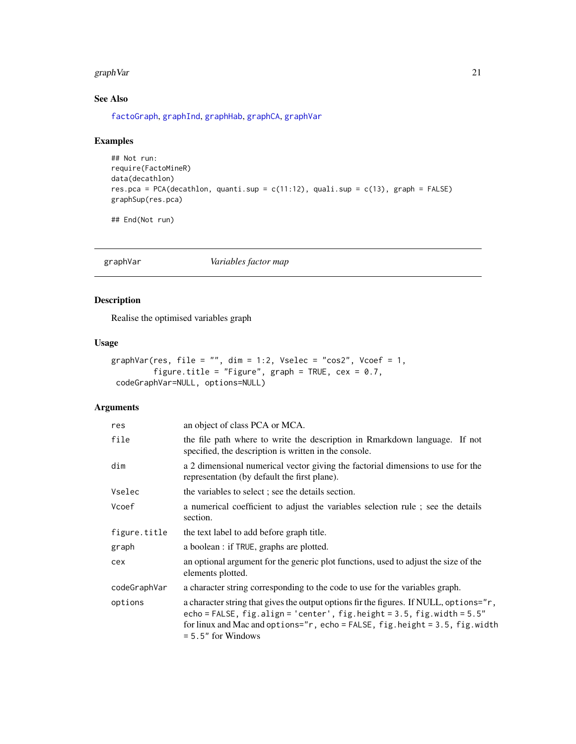#### <span id="page-20-0"></span>graph Var 1999 - 21 November 1999 - 21 November 1999 - 21 November 1999 - 21 November 1999 - 21 November 1999 - 21 November 1999 - 21 November 1999 - 21 November 1999 - 21 November 1999 - 21 November 1999 - 21 November 199

# See Also

[factoGraph](#page-10-1), [graphInd](#page-17-1), [graphHab](#page-15-1), [graphCA](#page-13-1), [graphVar](#page-20-1)

# Examples

```
## Not run:
require(FactoMineR)
data(decathlon)
res.pca = PCA(decathlon, quanti.sup = c(11:12), quali.sup = c(13), graph = FALSE)
graphSup(res.pca)
```
## End(Not run)

<span id="page-20-1"></span>graphVar *Variables factor map*

# Description

Realise the optimised variables graph

# Usage

```
graphVar(res, file = "", dim = 1:2, Vselec = "cos2", Vcoef = 1,
         figure.title = "Figure", graph = TRUE, cex = 0.7,
codeGraphVar=NULL, options=NULL)
```

| res          | an object of class PCA or MCA.                                                                                                                                                                                                                                                |
|--------------|-------------------------------------------------------------------------------------------------------------------------------------------------------------------------------------------------------------------------------------------------------------------------------|
| file         | the file path where to write the description in Rmarkdown language. If not<br>specified, the description is written in the console.                                                                                                                                           |
| dim          | a 2 dimensional numerical vector giving the factorial dimensions to use for the<br>representation (by default the first plane).                                                                                                                                               |
| Vselec       | the variables to select; see the details section.                                                                                                                                                                                                                             |
| Vcoef        | a numerical coefficient to adjust the variables selection rule; see the details<br>section.                                                                                                                                                                                   |
| figure.title | the text label to add before graph title.                                                                                                                                                                                                                                     |
| graph        | a boolean : if TRUE, graphs are plotted.                                                                                                                                                                                                                                      |
| cex          | an optional argument for the generic plot functions, used to adjust the size of the<br>elements plotted.                                                                                                                                                                      |
| codeGraphVar | a character string corresponding to the code to use for the variables graph.                                                                                                                                                                                                  |
| options      | a character string that gives the output options fir the figures. If NULL, options="r,<br>echo = FALSE, $fig.align = 'center', fig.height = 3.5, fig.width = 5.5"$<br>for linux and Mac and options=" $r$ , echo = FALSE, fig.height = 3.5, fig.width<br>$= 5.5"$ for Windows |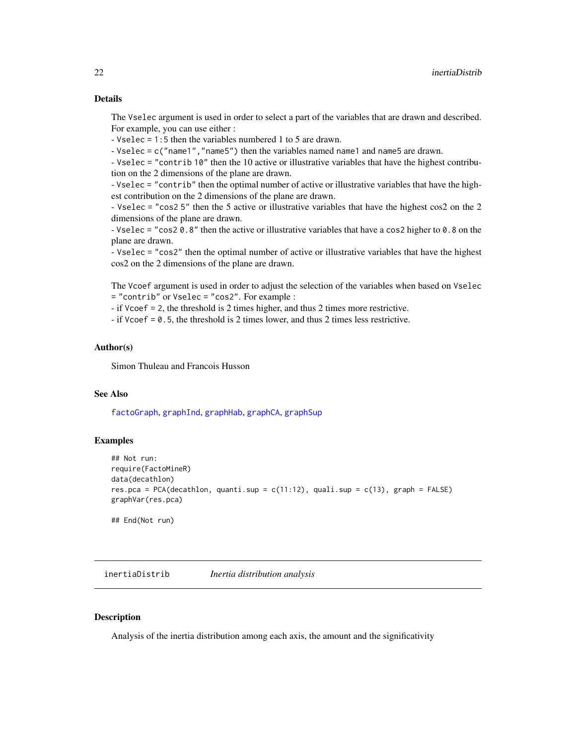<span id="page-21-0"></span>The Vselec argument is used in order to select a part of the variables that are drawn and described. For example, you can use either :

- Vselec = 1:5 then the variables numbered 1 to 5 are drawn.

- Vselec = c("name1","name5") then the variables named name1 and name5 are drawn.

- Vselec = "contrib 10" then the 10 active or illustrative variables that have the highest contribution on the 2 dimensions of the plane are drawn.

- Vselec = "contrib" then the optimal number of active or illustrative variables that have the highest contribution on the 2 dimensions of the plane are drawn.

- Vselec = "cos2 5" then the 5 active or illustrative variables that have the highest cos2 on the 2 dimensions of the plane are drawn.

- Vselec = "cos2 0.8" then the active or illustrative variables that have a cos2 higher to 0.8 on the plane are drawn.

- Vselec = "cos2" then the optimal number of active or illustrative variables that have the highest cos2 on the 2 dimensions of the plane are drawn.

The Vcoef argument is used in order to adjust the selection of the variables when based on Vselec = "contrib" or Vselec = "cos2". For example :

- if Vcoef = 2, the threshold is 2 times higher, and thus 2 times more restrictive.

- if Vcoef = 0.5, the threshold is 2 times lower, and thus 2 times less restrictive.

# Author(s)

Simon Thuleau and Francois Husson

# See Also

[factoGraph](#page-10-1), [graphInd](#page-17-1), [graphHab](#page-15-1), [graphCA](#page-13-1), [graphSup](#page-18-1)

#### Examples

```
## Not run:
require(FactoMineR)
data(decathlon)
res.pca = PCA(decathlon, quanti.sup = c(11:12), quali.sup = c(13), graph = FALSE)
graphVar(res.pca)
```
## End(Not run)

<span id="page-21-1"></span>inertiaDistrib *Inertia distribution analysis*

#### Description

Analysis of the inertia distribution among each axis, the amount and the significativity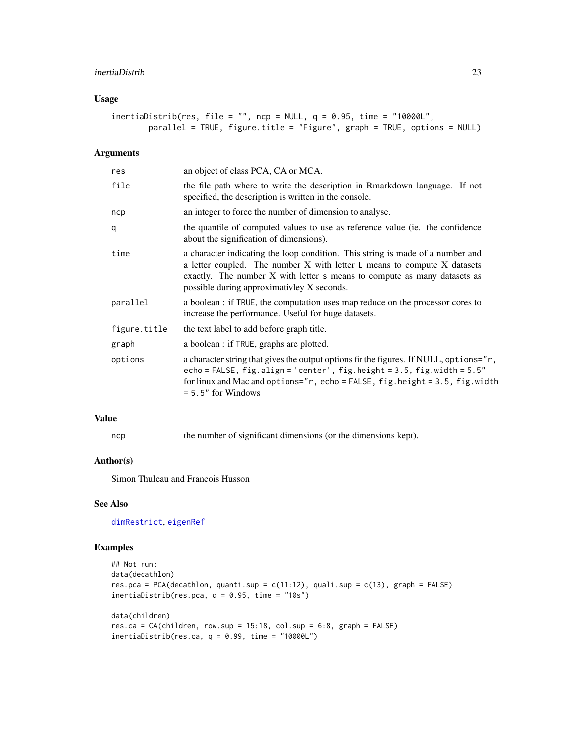#### <span id="page-22-0"></span>inertiaDistrib 23

# Usage

```
inertialJistrib(res, file = "", nep = NULL, q = 0.95, time = "10000L",parallel = TRUE, figure.title = "Figure", graph = TRUE, options = NULL)
```
# Arguments

| res          | an object of class PCA, CA or MCA.                                                                                                                                                                                                                                                         |
|--------------|--------------------------------------------------------------------------------------------------------------------------------------------------------------------------------------------------------------------------------------------------------------------------------------------|
| file         | the file path where to write the description in Rmarkdown language. If not<br>specified, the description is written in the console.                                                                                                                                                        |
| ncp          | an integer to force the number of dimension to analyse.                                                                                                                                                                                                                                    |
| q            | the quantile of computed values to use as reference value (ie. the confidence<br>about the signification of dimensions).                                                                                                                                                                   |
| time         | a character indicating the loop condition. This string is made of a number and<br>a letter coupled. The number $X$ with letter $L$ means to compute $X$ datasets<br>exactly. The number X with letter s means to compute as many datasets as<br>possible during approximativley X seconds. |
| parallel     | a boolean : if TRUE, the computation uses map reduce on the processor cores to<br>increase the performance. Useful for huge datasets.                                                                                                                                                      |
| figure.title | the text label to add before graph title.                                                                                                                                                                                                                                                  |
| graph        | a boolean : if TRUE, graphs are plotted.                                                                                                                                                                                                                                                   |
| options      | a character string that gives the output options fir the figures. If NULL, options="r,<br>echo = FALSE, $fig.align = 'center', fig.height = 3.5, fig.width = 5.5"$<br>for linux and Mac and options=" $r$ , echo = FALSE, fig.height = 3.5, fig.width<br>$= 5.5"$ for Windows              |
|              |                                                                                                                                                                                                                                                                                            |

# Value

ncp the number of significant dimensions (or the dimensions kept).

#### Author(s)

Simon Thuleau and Francois Husson

# See Also

[dimRestrict](#page-8-1), [eigenRef](#page-9-1)

# Examples

```
## Not run:
data(decathlon)
res.pca = PCA(decathlon, quanti.sup = c(11:12), quali.sup = c(13), graph = FALSE)
inertiaDistrib(res.pca, q = 0.95, time = "10s")
data(children)
res.ca = CA(children, row.sup = 15:18, col.sup = 6:8, graph = FALSE)
inertialJistrib(res.ca, q = 0.99, time = "10000L")
```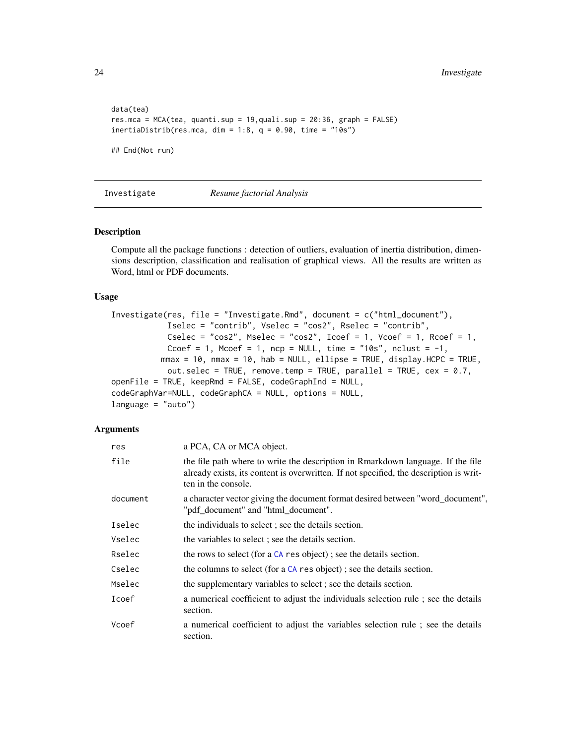```
data(tea)
res.mca = MCA(tea, quanti.sup = 19,quali.sup = 20:36, graph = FALSE)
inertiaDistrib(res.mca, dim = 1:8, q = 0.90, time = "10s")
## End(Not run)
```
#### Investigate *Resume factorial Analysis*

# Description

Compute all the package functions : detection of outliers, evaluation of inertia distribution, dimensions description, classification and realisation of graphical views. All the results are written as Word, html or PDF documents.

#### Usage

```
Investigate(res, file = "Investigate.Rmd", document = c("html_document"),
            Iselec = "contrib", Vselec = "cos2", Rselec = "contrib",
           Cselec = "cos2", Mselec = "cos2", Icoef = 1, Vcoef = 1, Rcoef = 1,
            Ccoef = 1, Mcoef = 1, ncp = NULL, time = "10s", nclust = -1,
          mmax = 10, mmax = 10, hab = NULL, ellipse = TRUE, display.HCPC = TRUE,
            out.selec = TRUE, remove.temp = TRUE, parallel = TRUE, cex = 0.7,
openFile = TRUE, keepRmd = FALSE, codeGraphInd = NULL,codeGraphVar=NULL, codeGraphCA = NULL, options = NULL,
language = "auto")
```

| res      | a PCA, CA or MCA object.                                                                                                                                                                         |
|----------|--------------------------------------------------------------------------------------------------------------------------------------------------------------------------------------------------|
| file     | the file path where to write the description in Rmarkdown language. If the file<br>already exists, its content is overwritten. If not specified, the description is writ-<br>ten in the console. |
| document | a character vector giving the document format desired between "word_document",<br>"pdf_document" and "html_document".                                                                            |
| Iselec   | the individuals to select; see the details section.                                                                                                                                              |
| Vselec   | the variables to select; see the details section.                                                                                                                                                |
| Rselec   | the rows to select (for a CA res object); see the details section.                                                                                                                               |
| Cselec   | the columns to select (for a CA res object); see the details section.                                                                                                                            |
| Mselec   | the supplementary variables to select; see the details section.                                                                                                                                  |
| Icoef    | a numerical coefficient to adjust the individuals selection rule; see the details<br>section.                                                                                                    |
| Vcoef    | a numerical coefficient to adjust the variables selection rule; see the details<br>section.                                                                                                      |

<span id="page-23-0"></span>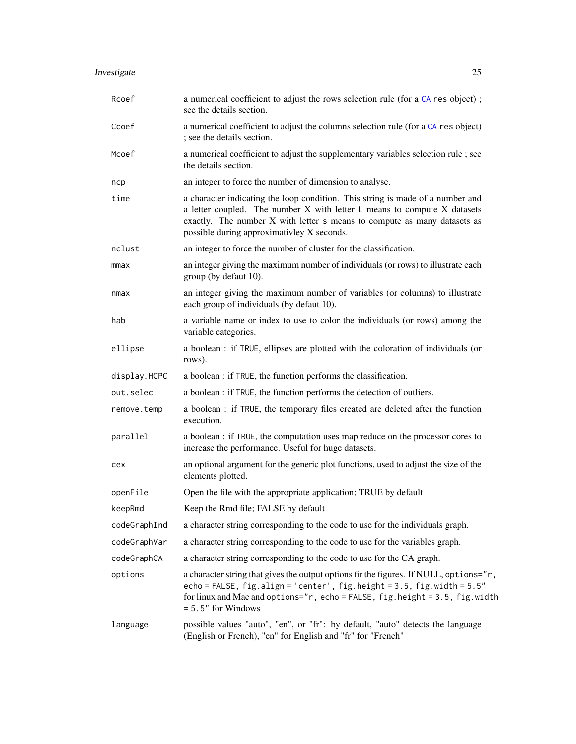# <span id="page-24-0"></span>Investigate 25

| Rcoef        | a numerical coefficient to adjust the rows selection rule (for a CA res object);<br>see the details section.                                                                                                                                                                               |  |
|--------------|--------------------------------------------------------------------------------------------------------------------------------------------------------------------------------------------------------------------------------------------------------------------------------------------|--|
| Ccoef        | a numerical coefficient to adjust the columns selection rule (for a CA res object)<br>; see the details section.                                                                                                                                                                           |  |
| Mcoef        | a numerical coefficient to adjust the supplementary variables selection rule; see<br>the details section.                                                                                                                                                                                  |  |
| ncp          | an integer to force the number of dimension to analyse.                                                                                                                                                                                                                                    |  |
| time         | a character indicating the loop condition. This string is made of a number and<br>a letter coupled. The number $X$ with letter $L$ means to compute $X$ datasets<br>exactly. The number X with letter s means to compute as many datasets as<br>possible during approximativley X seconds. |  |
| nclust       | an integer to force the number of cluster for the classification.                                                                                                                                                                                                                          |  |
| mmax         | an integer giving the maximum number of individuals (or rows) to illustrate each<br>group (by defaut 10).                                                                                                                                                                                  |  |
| nmax         | an integer giving the maximum number of variables (or columns) to illustrate<br>each group of individuals (by defaut 10).                                                                                                                                                                  |  |
| hab          | a variable name or index to use to color the individuals (or rows) among the<br>variable categories.                                                                                                                                                                                       |  |
| ellipse      | a boolean : if TRUE, ellipses are plotted with the coloration of individuals (or<br>rows).                                                                                                                                                                                                 |  |
| display.HCPC | a boolean : if TRUE, the function performs the classification.                                                                                                                                                                                                                             |  |
| out.selec    | a boolean : if TRUE, the function performs the detection of outliers.                                                                                                                                                                                                                      |  |
| remove.temp  | a boolean : if TRUE, the temporary files created are deleted after the function<br>execution.                                                                                                                                                                                              |  |
| parallel     | a boolean : if TRUE, the computation uses map reduce on the processor cores to<br>increase the performance. Useful for huge datasets.                                                                                                                                                      |  |
| cex          | an optional argument for the generic plot functions, used to adjust the size of the<br>elements plotted.                                                                                                                                                                                   |  |
| openFile     | Open the file with the appropriate application; TRUE by default                                                                                                                                                                                                                            |  |
| keepRmd      | Keep the Rmd file; FALSE by default                                                                                                                                                                                                                                                        |  |
| codeGraphInd | a character string corresponding to the code to use for the individuals graph.                                                                                                                                                                                                             |  |
| codeGraphVar | a character string corresponding to the code to use for the variables graph.                                                                                                                                                                                                               |  |
| codeGraphCA  | a character string corresponding to the code to use for the CA graph.                                                                                                                                                                                                                      |  |
| options      | a character string that gives the output options fir the figures. If NULL, options="r,<br>echo = FALSE, fig.align = 'center', fig.height = 3.5, fig.width = 5.5"<br>for linux and Mac and options="r, echo = FALSE, fig.height = 3.5, fig.width<br>$= 5.5"$ for Windows                    |  |
| language     | possible values "auto", "en", or "fr": by default, "auto" detects the language<br>(English or French), "en" for English and "fr" for "French"                                                                                                                                              |  |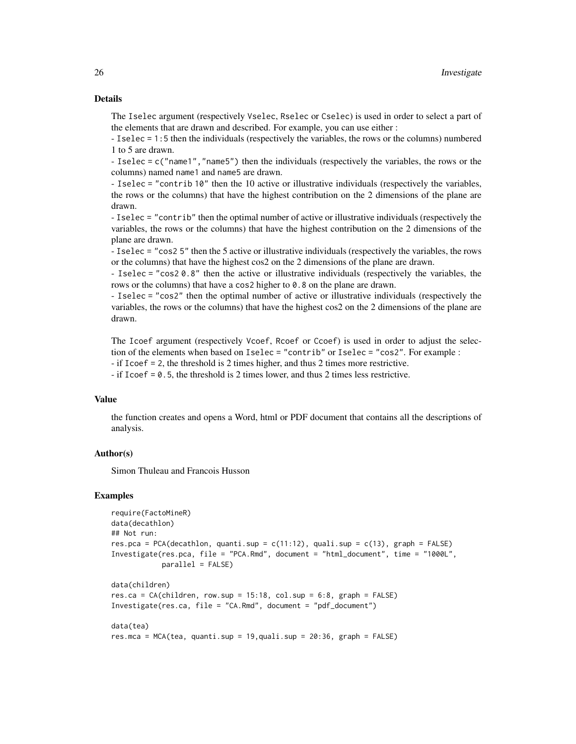# Details

The Iselec argument (respectively Vselec, Rselec or Cselec) is used in order to select a part of the elements that are drawn and described. For example, you can use either :

- Iselec = 1:5 then the individuals (respectively the variables, the rows or the columns) numbered 1 to 5 are drawn.

- Iselec = c("name1","name5") then the individuals (respectively the variables, the rows or the columns) named name1 and name5 are drawn.

- Iselec = "contrib 10" then the 10 active or illustrative individuals (respectively the variables, the rows or the columns) that have the highest contribution on the 2 dimensions of the plane are drawn.

- Iselec = "contrib" then the optimal number of active or illustrative individuals (respectively the variables, the rows or the columns) that have the highest contribution on the 2 dimensions of the plane are drawn.

- Iselec = "cos2 5" then the 5 active or illustrative individuals (respectively the variables, the rows or the columns) that have the highest cos2 on the 2 dimensions of the plane are drawn.

- Iselec = "cos2 0.8" then the active or illustrative individuals (respectively the variables, the rows or the columns) that have a cos2 higher to 0.8 on the plane are drawn.

- Iselec = "cos2" then the optimal number of active or illustrative individuals (respectively the variables, the rows or the columns) that have the highest cos2 on the 2 dimensions of the plane are drawn.

The Icoef argument (respectively Vcoef, Rcoef or Ccoef) is used in order to adjust the selection of the elements when based on Iselec = "contrib" or Iselec = "cos2". For example :

- if Icoef = 2, the threshold is 2 times higher, and thus 2 times more restrictive.

- if Icoef = 0.5, the threshold is 2 times lower, and thus 2 times less restrictive.

# Value

the function creates and opens a Word, html or PDF document that contains all the descriptions of analysis.

# Author(s)

Simon Thuleau and Francois Husson

#### Examples

```
require(FactoMineR)
data(decathlon)
## Not run:
res.pca = PCA(decathlon, quanti.sup = c(11:12), quali.sup = c(13), graph = FALSE)
Investigate(res.pca, file = "PCA.Rmd", document = "html_document", time = "1000L",
            parallel = FALSE)
data(children)
res.ca = CA(children, row.sup = 15:18, col.sup = 6:8, graph = FALSE)
Investigate(res.ca, file = "CA.Rmd", document = "pdf_document")
data(tea)
res.mca = MCA(tea, quanti.sup = 19,quali.sup = 20:36, graph = FALSE)
```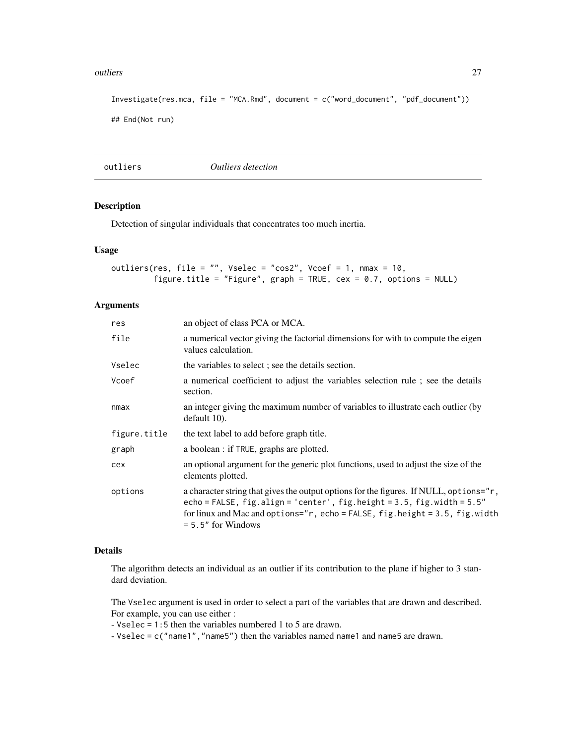#### <span id="page-26-0"></span>outliers 27

```
Investigate(res.mca, file = "MCA.Rmd", document = c("word_document", "pdf_document"))
## End(Not run)
```
outliers *Outliers detection*

# Description

Detection of singular individuals that concentrates too much inertia.

#### Usage

```
outliers(res, file = ", Vselec = "cos2", Vcoef = 1, nmax = 10,
        figure.title = "Figure", graph = TRUE, cex = 0.7, options = NULL)
```
# Arguments

| res          | an object of class PCA or MCA.                                                                                                                                                                                                                                                |
|--------------|-------------------------------------------------------------------------------------------------------------------------------------------------------------------------------------------------------------------------------------------------------------------------------|
| file         | a numerical vector giving the factorial dimensions for with to compute the eigen<br>values calculation.                                                                                                                                                                       |
| Vselec       | the variables to select; see the details section.                                                                                                                                                                                                                             |
| Vcoef        | a numerical coefficient to adjust the variables selection rule; see the details<br>section.                                                                                                                                                                                   |
| nmax         | an integer giving the maximum number of variables to illustrate each outlier (by<br>default 10).                                                                                                                                                                              |
| figure.title | the text label to add before graph title.                                                                                                                                                                                                                                     |
| graph        | a boolean : if TRUE, graphs are plotted.                                                                                                                                                                                                                                      |
| cex          | an optional argument for the generic plot functions, used to adjust the size of the<br>elements plotted.                                                                                                                                                                      |
| options      | a character string that gives the output options for the figures. If NULL, options="r,<br>echo = FALSE, $fig.align = 'center', fig.height = 3.5, fig.width = 5.5"$<br>for linux and Mac and options=" $r$ , echo = FALSE, fig.height = 3.5, fig.width<br>$= 5.5"$ for Windows |

#### Details

The algorithm detects an individual as an outlier if its contribution to the plane if higher to 3 standard deviation.

The Vselec argument is used in order to select a part of the variables that are drawn and described. For example, you can use either :

- Vselec = 1:5 then the variables numbered 1 to 5 are drawn.

- Vselec = c("name1","name5") then the variables named name1 and name5 are drawn.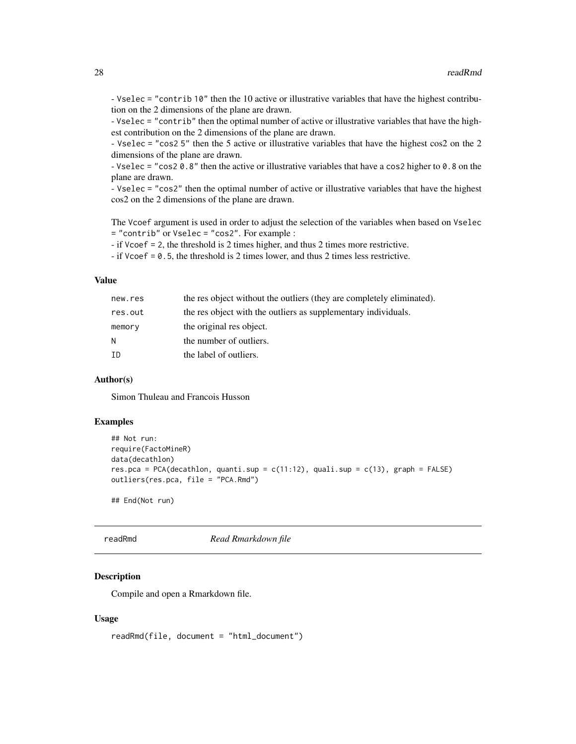<span id="page-27-0"></span>- Vselec = "contrib 10" then the 10 active or illustrative variables that have the highest contribution on the 2 dimensions of the plane are drawn.

- Vselec = "contrib" then the optimal number of active or illustrative variables that have the highest contribution on the 2 dimensions of the plane are drawn.

- Vselec = "cos2 5" then the 5 active or illustrative variables that have the highest cos2 on the 2 dimensions of the plane are drawn.

- Vselec = "cos2 0.8" then the active or illustrative variables that have a cos2 higher to 0.8 on the plane are drawn.

- Vselec = "cos2" then the optimal number of active or illustrative variables that have the highest cos2 on the 2 dimensions of the plane are drawn.

The Vcoef argument is used in order to adjust the selection of the variables when based on Vselec = "contrib" or Vselec = "cos2". For example :

- if Vcoef = 2, the threshold is 2 times higher, and thus 2 times more restrictive.

- if Vcoef = 0.5, the threshold is 2 times lower, and thus 2 times less restrictive.

#### Value

| new.res | the res object without the outliers (they are completely eliminated). |
|---------|-----------------------------------------------------------------------|
| res.out | the res object with the outliers as supplementary individuals.        |
| memory  | the original res object.                                              |
| N       | the number of outliers.                                               |
| ΙD      | the label of outliers.                                                |

#### Author(s)

Simon Thuleau and Francois Husson

# Examples

```
## Not run:
require(FactoMineR)
data(decathlon)
res.pca = PCA(decathlon, quanti.sup = c(11:12), quali.sup = c(13), graph = FALSE)
outliers(res.pca, file = "PCA.Rmd")
```
## End(Not run)

<span id="page-27-1"></span>

readRmd *Read Rmarkdown file*

#### Description

Compile and open a Rmarkdown file.

#### Usage

readRmd(file, document = "html\_document")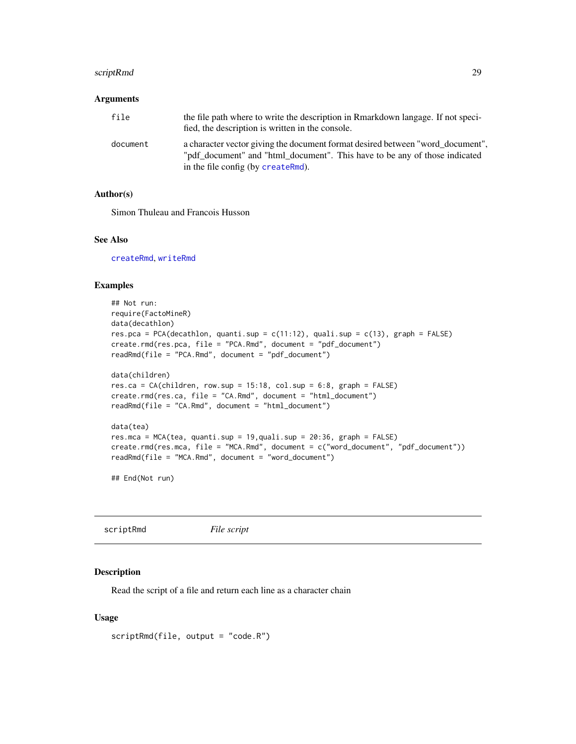# <span id="page-28-0"></span>scriptRmd 29

#### **Arguments**

| file     | the file path where to write the description in Rmarkdown langage. If not speci-<br>fied, the description is written in the console.                                                               |
|----------|----------------------------------------------------------------------------------------------------------------------------------------------------------------------------------------------------|
| document | a character vector giving the document format desired between "word_document",<br>"pdf_document" and "html_document". This have to be any of those indicated<br>in the file config (by createRmd). |

#### Author(s)

Simon Thuleau and Francois Husson

# See Also

[createRmd](#page-4-1), [writeRmd](#page-31-1)

# Examples

```
## Not run:
require(FactoMineR)
data(decathlon)
res.pca = PCA(decathlon, quanti.sup = c(11:12), quali.sup = c(13), graph = FALSE)
create.rmd(res.pca, file = "PCA.Rmd", document = "pdf_document")
readRmd(file = "PCA.Rmd", document = "pdf_document")
data(children)
res.ca = CA(children, row.sup = 15:18, col.sup = 6:8, graph = FALSE)
create.rmd(res.ca, file = "CA.Rmd", document = "html_document")
readRmd(file = "CA.Rmd", document = "html_document")
data(tea)
res.mca = MCA(tea, quanti.sup = 19,quali.sup = 20:36, graph = FALSE)
create.rmd(res.mca, file = "MCA.Rmd", document = c("word_document", "pdf_document"))
readRmd(file = "MCA.Rmd", document = "word_document")
```

```
## End(Not run)
```

| scriptRmd | File script |  |
|-----------|-------------|--|
|-----------|-------------|--|

#### Description

Read the script of a file and return each line as a character chain

#### Usage

```
scriptRmd(file, output = "code.R")
```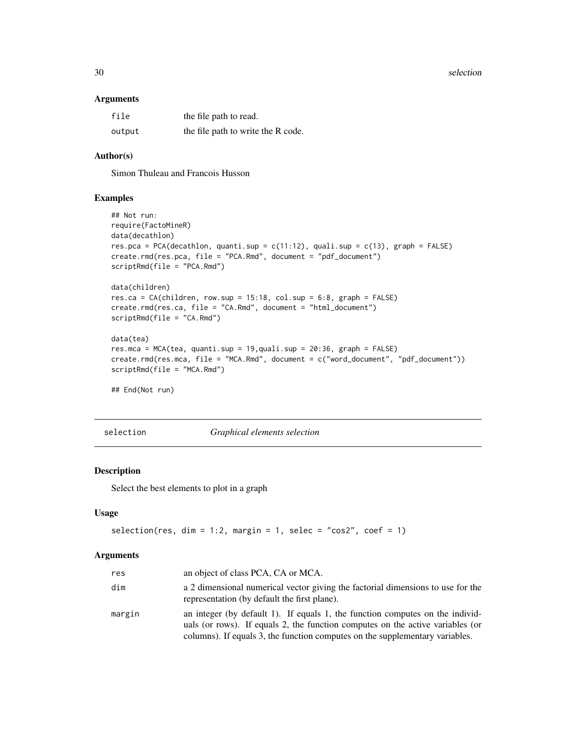<span id="page-29-0"></span>30 selection

#### Arguments

| file   | the file path to read.             |
|--------|------------------------------------|
| output | the file path to write the R code. |

# Author(s)

Simon Thuleau and Francois Husson

#### Examples

```
## Not run:
require(FactoMineR)
data(decathlon)
res.pca = PCA(decathlon, quanti.sup = c(11:12), quali.sup = c(13), graph = FALSE)
create.rmd(res.pca, file = "PCA.Rmd", document = "pdf_document")
scriptRmd(file = "PCA.Rmd")
data(children)
res.ca = CA(children, row.sup = 15:18, col.sup = 6:8, graph = FALSE)
create.rmd(res.ca, file = "CA.Rmd", document = "html_document")
scriptRmd(file = "CA.Rmd")
data(tea)
res.mca = MCA(tea, quanti.sup = 19,quali.sup = 20:36, graph = FALSE)
create.rmd(res.mca, file = "MCA.Rmd", document = c("word_document", "pdf_document"))
scriptRmd(file = "MCA.Rmd")
## End(Not run)
```
selection *Graphical elements selection*

# Description

Select the best elements to plot in a graph

#### Usage

```
selection(res, dim = 1:2, margin = 1, selec = "cos2", coef = 1)
```

| res    | an object of class PCA, CA or MCA.                                                                                                                                                                                                              |
|--------|-------------------------------------------------------------------------------------------------------------------------------------------------------------------------------------------------------------------------------------------------|
| dim    | a 2 dimensional numerical vector giving the factorial dimensions to use for the<br>representation (by default the first plane).                                                                                                                 |
| margin | an integer (by default 1). If equals 1, the function computes on the individ-<br>uals (or rows). If equals 2, the function computes on the active variables (or<br>columns). If equals 3, the function computes on the supplementary variables. |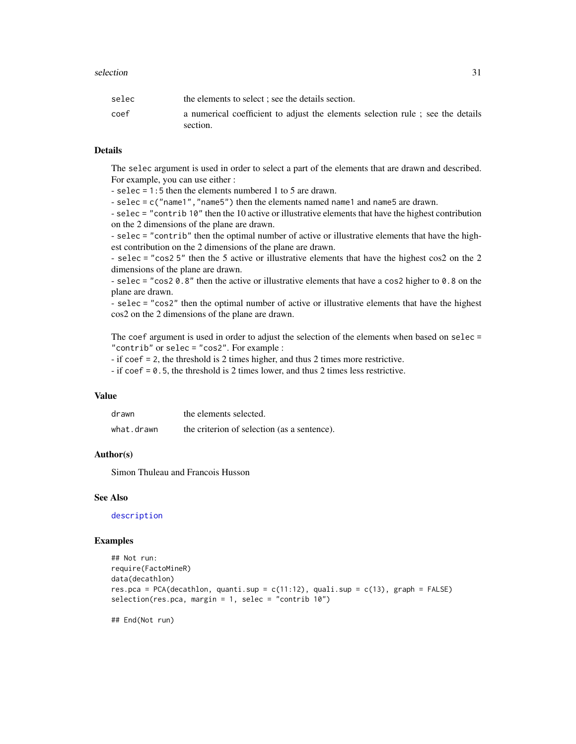<span id="page-30-0"></span>

| selec | the elements to select; see the details section.                               |
|-------|--------------------------------------------------------------------------------|
| coef  | a numerical coefficient to adjust the elements selection rule; see the details |
|       | section.                                                                       |

# Details

The selec argument is used in order to select a part of the elements that are drawn and described. For example, you can use either :

- selec = 1:5 then the elements numbered 1 to 5 are drawn.

- selec = c("name1", "name5") then the elements named name1 and name5 are drawn.

- selec = "contrib 10" then the 10 active or illustrative elements that have the highest contribution on the 2 dimensions of the plane are drawn.

- selec = "contrib" then the optimal number of active or illustrative elements that have the highest contribution on the 2 dimensions of the plane are drawn.

- selec = "cos2 5" then the 5 active or illustrative elements that have the highest cos2 on the 2 dimensions of the plane are drawn.

- selec = "cos2 0.8" then the active or illustrative elements that have a cos2 higher to 0.8 on the plane are drawn.

- selec = "cos2" then the optimal number of active or illustrative elements that have the highest cos2 on the 2 dimensions of the plane are drawn.

The coef argument is used in order to adjust the selection of the elements when based on selec = "contrib" or selec = "cos2". For example :

- if coef = 2, the threshold is 2 times higher, and thus 2 times more restrictive.

- if coef = 0.5, the threshold is 2 times lower, and thus 2 times less restrictive.

#### Value

| drawn      | the elements selected.                      |
|------------|---------------------------------------------|
| what.drawn | the criterion of selection (as a sentence). |

# Author(s)

Simon Thuleau and Francois Husson

#### See Also

[description](#page-5-1)

#### Examples

```
## Not run:
require(FactoMineR)
data(decathlon)
res.pca = PCA(decathlon, quanti.sup = c(11:12), quali.sup = c(13), graph = FALSE)
selection(res.pca, margin = 1, selec = "contrib 10")
```
## End(Not run)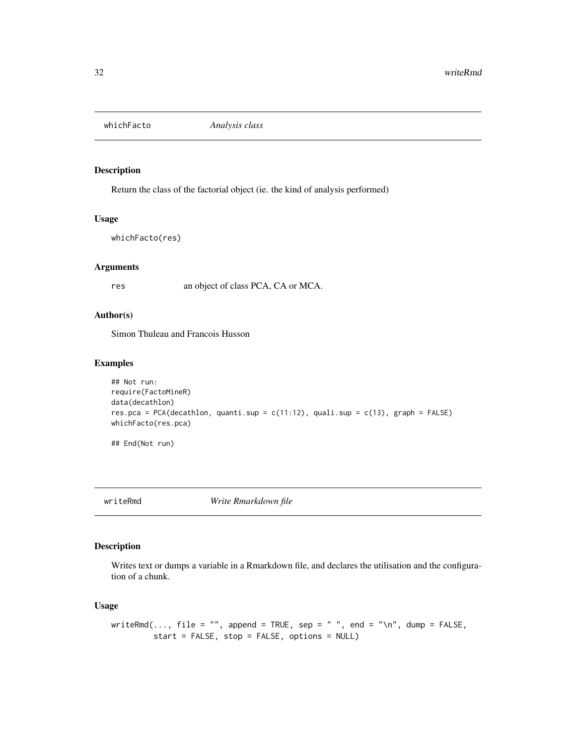<span id="page-31-2"></span><span id="page-31-0"></span>

# Description

Return the class of the factorial object (ie. the kind of analysis performed)

#### Usage

```
whichFacto(res)
```
#### Arguments

res an object of class PCA, CA or MCA.

# Author(s)

Simon Thuleau and Francois Husson

# Examples

```
## Not run:
require(FactoMineR)
data(decathlon)
res.pca = PCA(decathlon, quanti.sup = c(11:12), quali.sup = c(13), graph = FALSE)
whichFacto(res.pca)
```
## End(Not run)

<span id="page-31-1"></span>writeRmd *Write Rmarkdown file*

# Description

Writes text or dumps a variable in a Rmarkdown file, and declares the utilisation and the configuration of a chunk.

# Usage

```
writeRmd(..., file = "", append = TRUE, sep = " ", end = "\n", dump = FALSE,
        start = FALSE, stop = FALSE, options = NULL)
```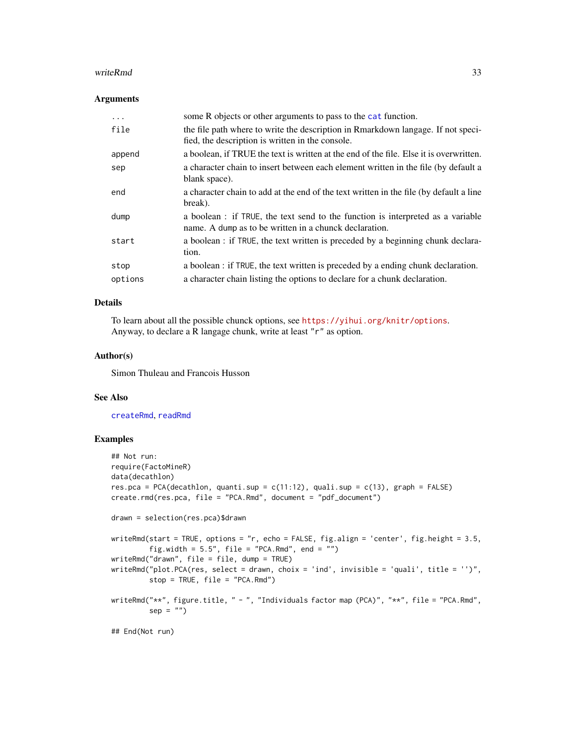#### <span id="page-32-0"></span>writeRmd 33

#### **Arguments**

| $\cdots$ | some R objects or other arguments to pass to the cat function.                                                                            |
|----------|-------------------------------------------------------------------------------------------------------------------------------------------|
| file     | the file path where to write the description in Rmarkdown langage. If not speci-<br>fied, the description is written in the console.      |
| append   | a boolean, if TRUE the text is written at the end of the file. Else it is overwritten.                                                    |
| sep      | a character chain to insert between each element written in the file (by default a<br>blank space).                                       |
| end      | a character chain to add at the end of the text written in the file (by default a line<br>break).                                         |
| dump     | a boolean : if TRUE, the text send to the function is interpreted as a variable<br>name. A dump as to be written in a chunck declaration. |
| start    | a boolean : if TRUE, the text written is preceded by a beginning chunk declara-<br>tion.                                                  |
| stop     | a boolean : if TRUE, the text written is preceded by a ending chunk declaration.                                                          |
| options  | a character chain listing the options to declare for a chunk declaration.                                                                 |

#### Details

To learn about all the possible chunck options, see <https://yihui.org/knitr/options>. Anyway, to declare a R langage chunk, write at least "r" as option.

# Author(s)

Simon Thuleau and Francois Husson

# See Also

[createRmd](#page-4-1), [readRmd](#page-27-1)

# Examples

```
## Not run:
require(FactoMineR)
data(decathlon)
res.pca = PCA(decathlon, quanti.sup = c(11:12), quali.sup = c(13), graph = FALSE)
create.rmd(res.pca, file = "PCA.Rmd", document = "pdf_document")
drawn = selection(res.pca)$drawn
writeRmd(start = TRUE, options = "r, echo = FALSE, fig.align = 'center', fig.height = 3.5,
         fig.width = 5.5", file = "PCA.Rmd", end = "")
writeRmd("drawn", file = file, dump = TRUE)
writeRmd("plot.PCA(res, select = drawn, choix = 'ind', invisible = 'quali', title = '')",
         stop = TRUE, file = "PCA.Rmd")writeRmd("**", figure.title, " - ", "Individuals factor map (PCA)", "**", file = "PCA.Rmd",
         sep = "")## End(Not run)
```